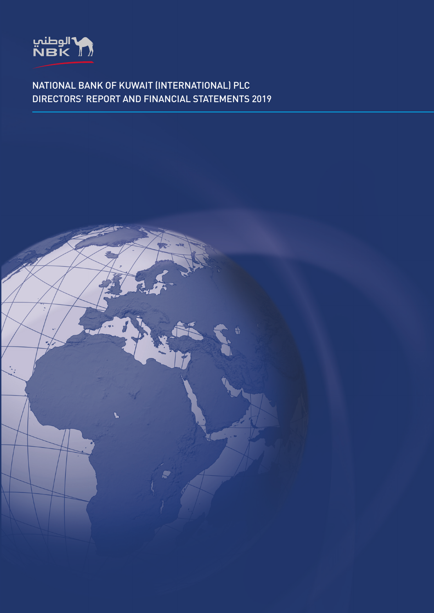

## NATIONAL BANK OF KUWAIT (INTERNATIONAL) PLC DIRECTORS' REPORT AND FINANCIAL STATEMENTS 2019

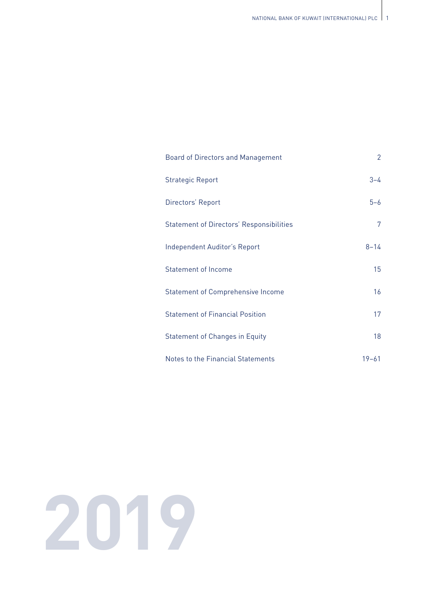| <b>Board of Directors and Management</b>        | $\overline{2}$ |
|-------------------------------------------------|----------------|
| <b>Strategic Report</b>                         | $3 - 4$        |
| Directors' Report                               | $5-6$          |
| <b>Statement of Directors' Responsibilities</b> | 7              |
| Independent Auditor's Report                    | $8 - 14$       |
| <b>Statement of Income</b>                      | 15             |
| <b>Statement of Comprehensive Income</b>        | 16             |
| <b>Statement of Financial Position</b>          | 17             |
| <b>Statement of Changes in Equity</b>           | 18             |
| <b>Notes to the Financial Statements</b>        | $19 - 61$      |

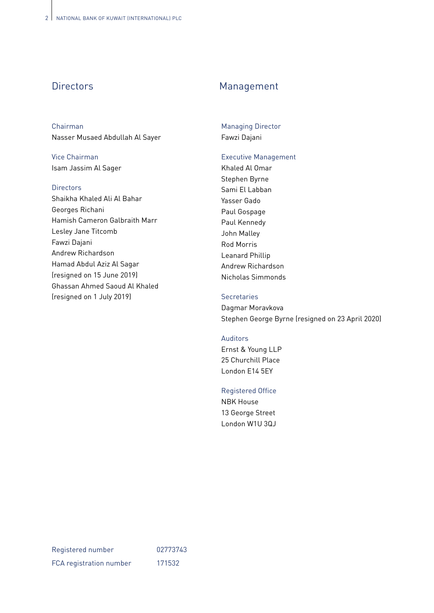Chairman Nasser Musaed Abdullah Al Sayer

Vice Chairman Isam Jassim Al Sager

## **Directors**

Shaikha Khaled Ali Al Bahar Georges Richani Hamish Cameron Galbraith Marr Lesley Jane Titcomb Fawzi Dajani Andrew Richardson Hamad Abdul Aziz Al Sagar (resigned on 15 June 2019) Ghassan Ahmed Saoud Al Khaled (resigned on 1 July 2019)

## Directors Management

## Managing Director Fawzi Dajani

## Executive Management

Khaled Al Omar Stephen Byrne Sami El Labban Yasser Gado Paul Gospage Paul Kennedy John Malley Rod Morris Leanard Phillip Andrew Richardson Nicholas Simmonds

## **Secretaries**

Dagmar Moravkova Stephen George Byrne (resigned on 23 April 2020)

## Auditors

Ernst & Young LLP 25 Churchill Place London E14 5EY

## Registered Office

NBK House 13 George Street London W1U 3QJ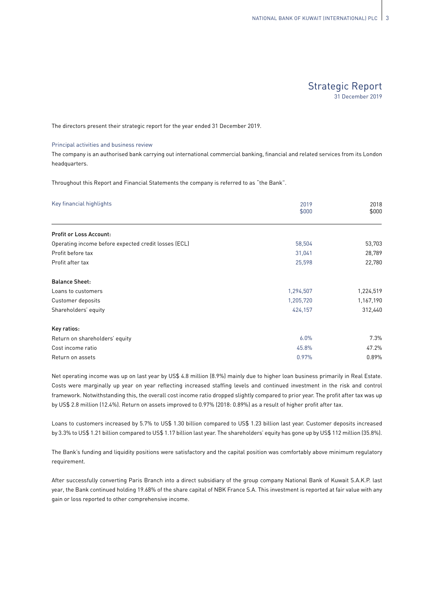## Strategic Report 31 December 2019

The directors present their strategic report for the year ended 31 December 2019.

#### Principal activities and business review

The company is an authorised bank carrying out international commercial banking, financial and related services from its London headquarters.

Throughout this Report and Financial Statements the company is referred to as "the Bank".

| Key financial highlights                             | 2019<br>\$000 | 2018<br>\$000 |
|------------------------------------------------------|---------------|---------------|
| <b>Profit or Loss Account:</b>                       |               |               |
| Operating income before expected credit losses (ECL) | 58,504        | 53,703        |
| Profit before tax                                    | 31,041        | 28,789        |
| Profit after tax                                     | 25,598        | 22,780        |
| <b>Balance Sheet:</b>                                |               |               |
| Loans to customers                                   | 1,294,507     | 1,224,519     |
| Customer deposits                                    | 1,205,720     | 1,167,190     |
| Shareholders' equity                                 | 424,157       | 312,440       |
| Key ratios:                                          |               |               |
| Return on shareholders' equity                       | 6.0%          | 7.3%          |
| Cost income ratio                                    | 45.8%         | 47.2%         |
| Return on assets                                     | 0.97%         | 0.89%         |

Net operating income was up on last year by US\$ 4.8 million (8.9%) mainly due to higher loan business primarily in Real Estate. Costs were marginally up year on year reflecting increased staffing levels and continued investment in the risk and control framework. Notwithstanding this, the overall cost income ratio dropped slightly compared to prior year. The profit after tax was up by US\$ 2.8 million (12.4%). Return on assets improved to 0.97% (2018: 0.89%) as a result of higher profit after tax.

Loans to customers increased by 5.7% to US\$ 1.30 billion compared to US\$ 1.23 billion last year. Customer deposits increased by 3.3% to US\$ 1.21 billion compared to US\$ 1.17 billion last year. The shareholders' equity has gone up by US\$ 112 million (35.8%).

The Bank's funding and liquidity positions were satisfactory and the capital position was comfortably above minimum regulatory requirement.

After successfully converting Paris Branch into a direct subsidiary of the group company National Bank of Kuwait S.A.K.P. last year, the Bank continued holding 19.68% of the share capital of NBK France S.A. This investment is reported at fair value with any gain or loss reported to other comprehensive income.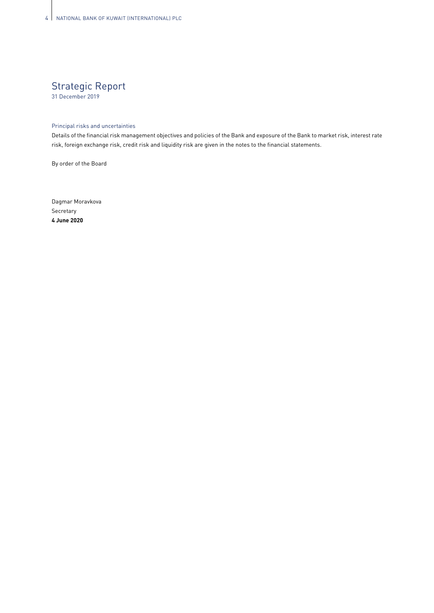

31 December 2019

## Principal risks and uncertainties

Details of the financial risk management objectives and policies of the Bank and exposure of the Bank to market risk, interest rate risk, foreign exchange risk, credit risk and liquidity risk are given in the notes to the financial statements.

By order of the Board

Dagmar Moravkova Secretary **4 June 2020**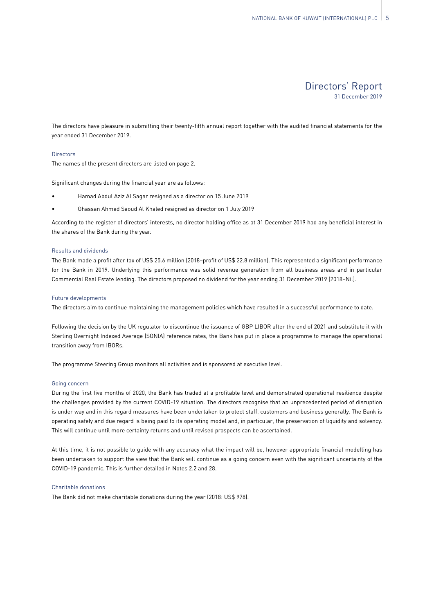

The directors have pleasure in submitting their twenty-fifth annual report together with the audited financial statements for the year ended 31 December 2019.

#### Directors

The names of the present directors are listed on page 2.

Significant changes during the financial year are as follows:

- Hamad Abdul Aziz Al Sagar resigned as a director on 15 June 2019
- Ghassan Ahmed Saoud Al Khaled resigned as director on 1 July 2019

According to the register of directors' interests, no director holding office as at 31 December 2019 had any beneficial interest in the shares of the Bank during the year.

### Results and dividends

The Bank made a profit after tax of US\$ 25.6 million (2018–profit of US\$ 22.8 million). This represented a significant performance for the Bank in 2019. Underlying this performance was solid revenue generation from all business areas and in particular Commercial Real Estate lending. The directors proposed no dividend for the year ending 31 December 2019 (2018–Nil).

#### Future developments

The directors aim to continue maintaining the management policies which have resulted in a successful performance to date.

Following the decision by the UK regulator to discontinue the issuance of GBP LIBOR after the end of 2021 and substitute it with Sterling Overnight Indexed Average (SONIA) reference rates, the Bank has put in place a programme to manage the operational transition away from IBORs.

The programme Steering Group monitors all activities and is sponsored at executive level.

#### Going concern

During the first five months of 2020, the Bank has traded at a profitable level and demonstrated operational resilience despite the challenges provided by the current COVID-19 situation. The directors recognise that an unprecedented period of disruption is under way and in this regard measures have been undertaken to protect staff, customers and business generally. The Bank is operating safely and due regard is being paid to its operating model and, in particular, the preservation of liquidity and solvency. This will continue until more certainty returns and until revised prospects can be ascertained.

At this time, it is not possible to guide with any accuracy what the impact will be, however appropriate financial modelling has been undertaken to support the view that the Bank will continue as a going concern even with the significant uncertainty of the COVID-19 pandemic. This is further detailed in Notes 2.2 and 28.

#### Charitable donations

The Bank did not make charitable donations during the year (2018: US\$ 978).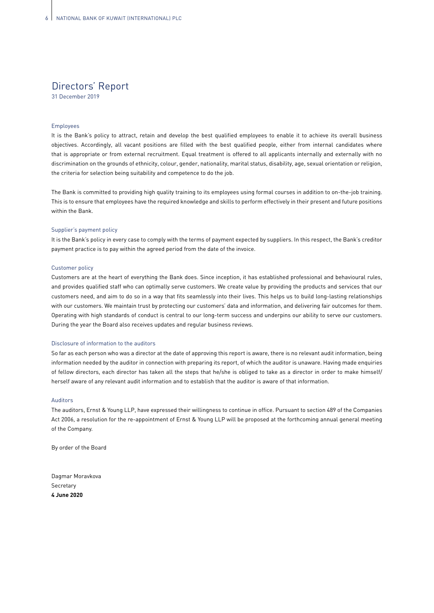## Directors' Report 31 December 2019

## Employees

It is the Bank's policy to attract, retain and develop the best qualified employees to enable it to achieve its overall business objectives. Accordingly, all vacant positions are filled with the best qualified people, either from internal candidates where that is appropriate or from external recruitment. Equal treatment is offered to all applicants internally and externally with no discrimination on the grounds of ethnicity, colour, gender, nationality, marital status, disability, age, sexual orientation or religion, the criteria for selection being suitability and competence to do the job.

The Bank is committed to providing high quality training to its employees using formal courses in addition to on-the-job training. This is to ensure that employees have the required knowledge and skills to perform effectively in their present and future positions within the Bank.

#### Supplier's payment policy

It is the Bank's policy in every case to comply with the terms of payment expected by suppliers. In this respect, the Bank's creditor payment practice is to pay within the agreed period from the date of the invoice.

### Customer policy

Customers are at the heart of everything the Bank does. Since inception, it has established professional and behavioural rules, and provides qualified staff who can optimally serve customers. We create value by providing the products and services that our customers need, and aim to do so in a way that fits seamlessly into their lives. This helps us to build long-lasting relationships with our customers. We maintain trust by protecting our customers' data and information, and delivering fair outcomes for them. Operating with high standards of conduct is central to our long-term success and underpins our ability to serve our customers. During the year the Board also receives updates and regular business reviews.

#### Disclosure of information to the auditors

So far as each person who was a director at the date of approving this report is aware, there is no relevant audit information, being information needed by the auditor in connection with preparing its report, of which the auditor is unaware. Having made enquiries of fellow directors, each director has taken all the steps that he/she is obliged to take as a director in order to make himself/ herself aware of any relevant audit information and to establish that the auditor is aware of that information.

#### Auditors

The auditors, Ernst & Young LLP, have expressed their willingness to continue in office. Pursuant to section 489 of the Companies Act 2006, a resolution for the re-appointment of Ernst & Young LLP will be proposed at the forthcoming annual general meeting of the Company.

By order of the Board

Dagmar Moravkova Secretary **4 June 2020**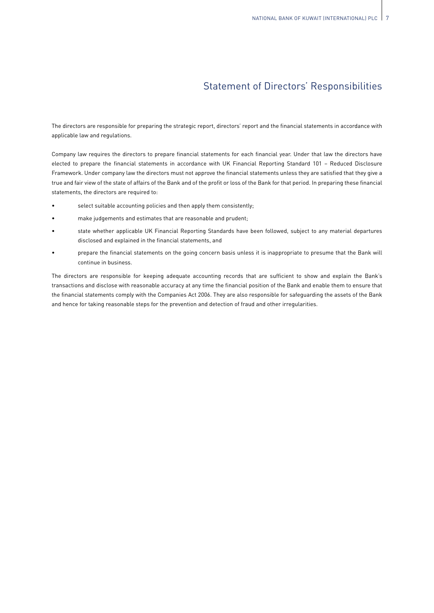## Statement of Directors' Responsibilities

The directors are responsible for preparing the strategic report, directors' report and the financial statements in accordance with applicable law and regulations.

Company law requires the directors to prepare financial statements for each financial year. Under that law the directors have elected to prepare the financial statements in accordance with UK Financial Reporting Standard 101 – Reduced Disclosure Framework. Under company law the directors must not approve the financial statements unless they are satisfied that they give a true and fair view of the state of affairs of the Bank and of the profit or loss of the Bank for that period. In preparing these financial statements, the directors are required to:

- select suitable accounting policies and then apply them consistently;
- make judgements and estimates that are reasonable and prudent;
- state whether applicable UK Financial Reporting Standards have been followed, subject to any material departures disclosed and explained in the financial statements, and
- prepare the financial statements on the going concern basis unless it is inappropriate to presume that the Bank will continue in business.

The directors are responsible for keeping adequate accounting records that are sufficient to show and explain the Bank's transactions and disclose with reasonable accuracy at any time the financial position of the Bank and enable them to ensure that the financial statements comply with the Companies Act 2006. They are also responsible for safeguarding the assets of the Bank and hence for taking reasonable steps for the prevention and detection of fraud and other irregularities.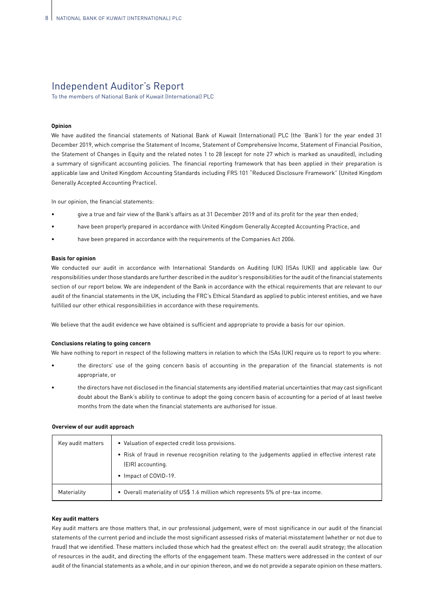To the members of National Bank of Kuwait (International) PLC

## **Opinion**

We have audited the financial statements of National Bank of Kuwait (International) PLC (the 'Bank') for the year ended 31 December 2019, which comprise the Statement of Income, Statement of Comprehensive Income, Statement of Financial Position, the Statement of Changes in Equity and the related notes 1 to 28 (except for note 27 which is marked as unaudited), including a summary of significant accounting policies. The financial reporting framework that has been applied in their preparation is applicable law and United Kingdom Accounting Standards including FRS 101 "Reduced Disclosure Framework" (United Kingdom Generally Accepted Accounting Practice).

In our opinion, the financial statements:

- give a true and fair view of the Bank's affairs as at 31 December 2019 and of its profit for the year then ended;
- have been properly prepared in accordance with United Kingdom Generally Accepted Accounting Practice, and
- have been prepared in accordance with the requirements of the Companies Act 2006.

#### **Basis for opinion**

We conducted our audit in accordance with International Standards on Auditing (UK) (ISAs (UK)) and applicable law. Our responsibilities under those standards are further described in the auditor's responsibilities for the audit of the financial statements section of our report below. We are independent of the Bank in accordance with the ethical requirements that are relevant to our audit of the financial statements in the UK, including the FRC's Ethical Standard as applied to public interest entities, and we have fulfilled our other ethical responsibilities in accordance with these requirements.

We believe that the audit evidence we have obtained is sufficient and appropriate to provide a basis for our opinion.

### **Conclusions relating to going concern**

We have nothing to report in respect of the following matters in relation to which the ISAs (UK) require us to report to you where:

- the directors' use of the going concern basis of accounting in the preparation of the financial statements is not appropriate, or
- the directors have not disclosed in the financial statements any identified material uncertainties that may cast significant doubt about the Bank's ability to continue to adopt the going concern basis of accounting for a period of at least twelve months from the date when the financial statements are authorised for issue.

## **Overview of our audit approach**

| Key audit matters | • Valuation of expected credit loss provisions.                                                                           |
|-------------------|---------------------------------------------------------------------------------------------------------------------------|
|                   | • Risk of fraud in revenue recognition relating to the judgements applied in effective interest rate<br>(EIR) accounting. |
|                   | • Impact of COVID-19.                                                                                                     |
| Materiality       | • Overall materiality of US\$ 1.6 million which represents 5% of pre-tax income.                                          |

#### **Key audit matters**

Key audit matters are those matters that, in our professional judgement, were of most significance in our audit of the financial statements of the current period and include the most significant assessed risks of material misstatement (whether or not due to fraud) that we identified. These matters included those which had the greatest effect on: the overall audit strategy; the allocation of resources in the audit, and directing the efforts of the engagement team. These matters were addressed in the context of our audit of the financial statements as a whole, and in our opinion thereon, and we do not provide a separate opinion on these matters.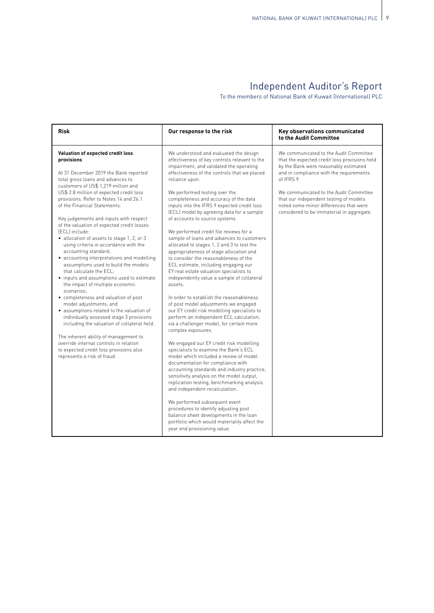To the members of National Bank of Kuwait (International) PLC

| Risk                                                                                                                                                                                                                                                                                                                                                                                                                                                                                                                                                                                                                                                                                                                                                                                                                                                                                                                                                                                                                                                                                                      | Our response to the risk                                                                                                                                                                                                                                                                                                                                                                                                                                                                                                                                                                                                                                                                                                                                                                                                                                                                                                                                                                                                                                                                                                                                                                                                                           | Key observations communicated<br>to the Audit Committee                                                                                                                                                                                                                                                                                                              |
|-----------------------------------------------------------------------------------------------------------------------------------------------------------------------------------------------------------------------------------------------------------------------------------------------------------------------------------------------------------------------------------------------------------------------------------------------------------------------------------------------------------------------------------------------------------------------------------------------------------------------------------------------------------------------------------------------------------------------------------------------------------------------------------------------------------------------------------------------------------------------------------------------------------------------------------------------------------------------------------------------------------------------------------------------------------------------------------------------------------|----------------------------------------------------------------------------------------------------------------------------------------------------------------------------------------------------------------------------------------------------------------------------------------------------------------------------------------------------------------------------------------------------------------------------------------------------------------------------------------------------------------------------------------------------------------------------------------------------------------------------------------------------------------------------------------------------------------------------------------------------------------------------------------------------------------------------------------------------------------------------------------------------------------------------------------------------------------------------------------------------------------------------------------------------------------------------------------------------------------------------------------------------------------------------------------------------------------------------------------------------|----------------------------------------------------------------------------------------------------------------------------------------------------------------------------------------------------------------------------------------------------------------------------------------------------------------------------------------------------------------------|
| Valuation of expected credit loss<br>provisions<br>At 31 December 2019 the Bank reported<br>total gross loans and advances to<br>customers of US\$ 1,219 million and<br>US\$ 2.8 million of expected credit loss<br>provisions. Refer to Notes 14 and 26.1<br>of the Financial Statements.<br>Key judgements and inputs with respect<br>of the valuation of expected credit losses<br>(ECL) include:<br>• allocation of assets to stage 1, 2, or 3<br>using criteria in accordance with the<br>accounting standard;<br>• accounting interpretations and modelling<br>assumptions used to build the models<br>that calculate the ECL:<br>• inputs and assumptions used to estimate<br>the impact of multiple economic<br>scenarios:<br>• completeness and valuation of post<br>model adjustments, and<br>• assumptions related to the valuation of<br>individually assessed stage 3 provisions<br>including the valuation of collateral held.<br>The inherent ability of management to<br>override internal controls in relation<br>to expected credit loss provisions also<br>represents a risk of fraud. | We understood and evaluated the design<br>effectiveness of key controls relevant to the<br>impairment, and validated the operating<br>effectiveness of the controls that we placed<br>reliance upon.<br>We performed testing over the<br>completeness and accuracy of the data<br>inputs into the IFRS 9 expected credit loss<br>(ECL) model by agreeing data for a sample<br>of accounts to source systems<br>We performed credit file reviews for a<br>sample of loans and advances to customers<br>allocated to stages 1, 2 and 3 to test the<br>appropriateness of stage allocation and<br>to consider the reasonableness of the<br>ECL estimate, including engaging our<br>EY real estate valuation specialists to<br>independently value a sample of collateral<br>assets.<br>In order to establish the reasonableness<br>of post model adjustments we engaged<br>our EY credit risk modelling specialists to<br>perform an independent ECL calculation,<br>via a challenger model, for certain more<br>complex exposures.<br>We engaged our EY credit risk modelling<br>specialists to examine the Bank's ECL<br>model which included a review of model<br>documentation for compliance with<br>accounting standards and industry practice, | We communicated to the Audit Committee<br>that the expected credit loss provisions held<br>by the Bank were reasonably estimated<br>and in compliance with the requirements<br>of IFRS 9.<br>We communicated to the Audit Committee<br>that our independent testing of models<br>noted some minor differences that were<br>considered to be immaterial in aggregate. |
|                                                                                                                                                                                                                                                                                                                                                                                                                                                                                                                                                                                                                                                                                                                                                                                                                                                                                                                                                                                                                                                                                                           | sensitivity analysis on the model output,<br>replication testing, benchmarking analysis<br>and independent recalculation<br>We performed subsequent event<br>procedures to identify adjusting post<br>balance sheet developments in the loan<br>portfolio which would materiality affect the<br>year end provisioning value.                                                                                                                                                                                                                                                                                                                                                                                                                                                                                                                                                                                                                                                                                                                                                                                                                                                                                                                       |                                                                                                                                                                                                                                                                                                                                                                      |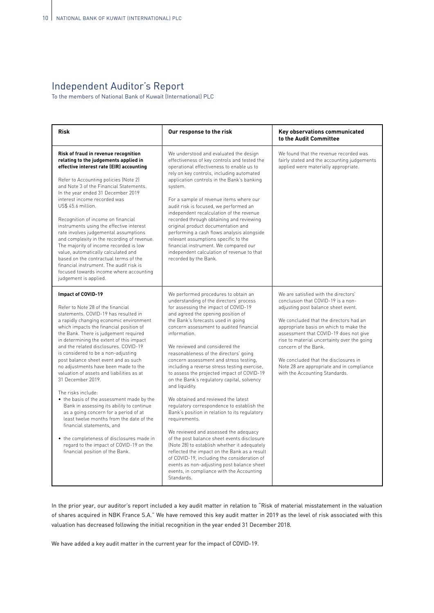To the members of National Bank of Kuwait (International) PLC

| Risk                                                                                                                                                                                                                                                                                                                                                                                                                                                                                                                                                                                                                                                                                                                                                                                                                                                                             | Our response to the risk                                                                                                                                                                                                                                                                                                                                                                                                                                                                                                                                                                                                                                                                                                                                                                                                                                                                                                                                                                                                                                 | Key observations communicated<br>to the Audit Committee                                                                                                                                                                                                                                                                                                                                                                                       |
|----------------------------------------------------------------------------------------------------------------------------------------------------------------------------------------------------------------------------------------------------------------------------------------------------------------------------------------------------------------------------------------------------------------------------------------------------------------------------------------------------------------------------------------------------------------------------------------------------------------------------------------------------------------------------------------------------------------------------------------------------------------------------------------------------------------------------------------------------------------------------------|----------------------------------------------------------------------------------------------------------------------------------------------------------------------------------------------------------------------------------------------------------------------------------------------------------------------------------------------------------------------------------------------------------------------------------------------------------------------------------------------------------------------------------------------------------------------------------------------------------------------------------------------------------------------------------------------------------------------------------------------------------------------------------------------------------------------------------------------------------------------------------------------------------------------------------------------------------------------------------------------------------------------------------------------------------|-----------------------------------------------------------------------------------------------------------------------------------------------------------------------------------------------------------------------------------------------------------------------------------------------------------------------------------------------------------------------------------------------------------------------------------------------|
| Risk of fraud in revenue recognition<br>relating to the judgements applied in<br>effective interest rate (EIR) accounting<br>Refer to Accounting policies (Note 2)<br>and Note 3 of the Financial Statements.<br>In the year ended 31 December 2019<br>interest income recorded was<br>US\$ 45.6 million.<br>Recognition of income on financial<br>instruments using the effective interest<br>rate involves judgemental assumptions<br>and complexity in the recording of revenue.<br>The majority of income recorded is low<br>value, automatically calculated and<br>based on the contractual terms of the<br>financial instrument. The audit risk is<br>focused towards income where accounting<br>judgement is applied.                                                                                                                                                     | We understood and evaluated the design<br>effectiveness of key controls and tested the<br>operational effectiveness to enable us to<br>rely on key controls, including automated<br>application controls in the Bank's banking<br>system.<br>For a sample of revenue items where our<br>audit risk is focused, we performed an<br>independent recalculation of the revenue<br>recorded through obtaining and reviewing<br>original product documentation and<br>performing a cash flows analysis alongside<br>relevant assumptions specific to the<br>financial instrument. We compared our<br>independent calculation of revenue to that<br>recorded by the Bank.                                                                                                                                                                                                                                                                                                                                                                                       | We found that the revenue recorded was<br>fairly stated and the accounting judgements<br>applied were materially appropriate.                                                                                                                                                                                                                                                                                                                 |
| <b>Impact of COVID-19</b><br>Refer to Note 28 of the financial<br>statements. COVID-19 has resulted in<br>a rapidly changing economic environment<br>which impacts the financial position of<br>the Bank. There is judgement required<br>in determining the extent of this impact<br>and the related disclosures, COVID-19<br>is considered to be a non-adjusting<br>post balance sheet event and as such<br>no adjustments have been made to the<br>valuation of assets and liabilities as at<br>31 December 2019.<br>The risks include:<br>• the basis of the assessment made by the<br>Bank in assessing its ability to continue<br>as a going concern for a period of at<br>least twelve months from the date of the<br>financial statements, and<br>• the completeness of disclosures made in<br>regard to the impact of COVID-19 on the<br>financial position of the Bank. | We performed procedures to obtain an<br>understanding of the directors' process<br>for assessing the impact of COVID-19<br>and agreed the opening position of<br>the Bank's forecasts used in going<br>concern assessment to audited financial<br>information<br>We reviewed and considered the<br>reasonableness of the directors' going<br>concern assessment and stress testing,<br>including a reverse stress testing exercise,<br>to assess the projected impact of COVID-19<br>on the Bank's regulatory capital, solvency<br>and liquidity.<br>We obtained and reviewed the latest<br>regulatory correspondence to establish the<br>Bank's position in relation to its regulatory<br>requirements.<br>We reviewed and assessed the adequacy<br>of the post balance sheet events disclosure<br>(Note 28) to establish whether it adequately<br>reflected the impact on the Bank as a result<br>of COVID-19, including the consideration of<br>events as non-adjusting post balance sheet<br>events, in compliance with the Accounting<br>Standards. | We are satisfied with the directors'<br>conclusion that COVID-19 is a non-<br>adjusting post balance sheet event.<br>We concluded that the directors had an<br>appropriate basis on which to make the<br>assessment that COVID-19 does not give<br>rise to material uncertainty over the going<br>concern of the Bank.<br>We concluded that the disclosures in<br>Note 28 are appropriate and in compliance<br>with the Accounting Standards. |

In the prior year, our auditor's report included a key audit matter in relation to "Risk of material misstatement in the valuation of shares acquired in NBK France S.A." We have removed this key audit matter in 2019 as the level of risk associated with this valuation has decreased following the initial recognition in the year ended 31 December 2018.

We have added a key audit matter in the current year for the impact of COVID-19.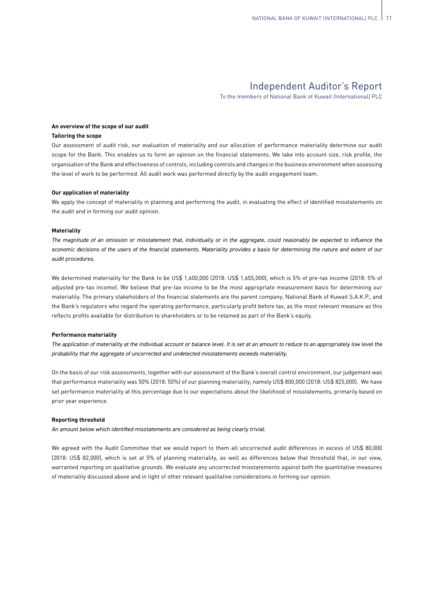To the members of National Bank of Kuwait (International) PLC

### **An overview of the scope of our audit**

### **Tailoring the scope**

Our assessment of audit risk, our evaluation of materiality and our allocation of performance materiality determine our audit scope for the Bank. This enables us to form an opinion on the financial statements. We take into account size, risk profile, the organisation of the Bank and effectiveness of controls, including controls and changes in the business environment when assessing the level of work to be performed. All audit work was performed directly by the audit engagement team.

#### **Our application of materiality**

We apply the concept of materiality in planning and performing the audit, in evaluating the effect of identified misstatements on the audit and in forming our audit opinion.

#### **Materiality**

*The magnitude of an omission or misstatement that, individually or in the aggregate, could reasonably be expected to influence the*  economic decisions of the users of the financial statements. Materiality provides a basis for determining the nature and extent of our *audit procedures.*

We determined materiality for the Bank to be US\$ 1,600,000 (2018: US\$ 1,655,000), which is 5% of pre-tax income (2018: 5% of adjusted pre-tax income). We believe that pre-tax income to be the most appropriate measurement basis for determining our materiality. The primary stakeholders of the financial statements are the parent company, National Bank of Kuwait S.A.K.P., and the Bank's regulators who regard the operating performance, particularly profit before tax, as the most relevant measure as this reflects profits available for distribution to shareholders or to be retained as part of the Bank's equity.

#### **Performance materiality**

The application of materiality at the individual account or balance level. It is set at an amount to reduce to an appropriately low level the *probability that the aggregate of uncorrected and undetected misstatements exceeds materiality.*

On the basis of our risk assessments, together with our assessment of the Bank's overall control environment, our judgement was that performance materiality was 50% (2018: 50%) of our planning materiality, namely US\$ 800,000 (2018: US\$ 825,000). We have set performance materiality at this percentage due to our expectations about the likelihood of misstatements, primarily based on prior year experience.

#### **Reporting threshold**

*An amount below which identified misstatements are considered as being clearly trivial.*

We agreed with the Audit Committee that we would report to them all uncorrected audit differences in excess of US\$ 80,000 (2018: US\$ 82,000), which is set at 5% of planning materiality, as well as differences below that threshold that, in our view, warranted reporting on qualitative grounds. We evaluate any uncorrected misstatements against both the quantitative measures of materiality discussed above and in light of other relevant qualitative considerations in forming our opinion.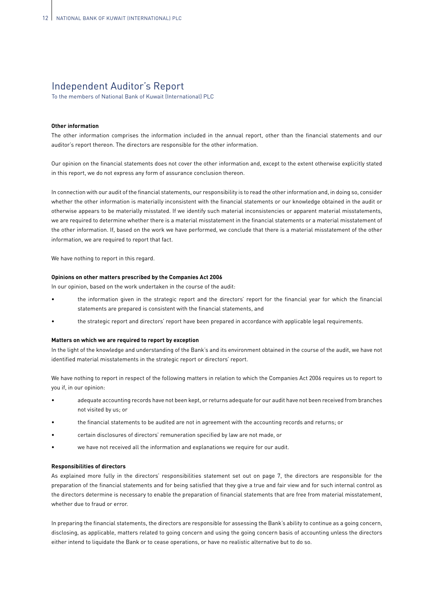To the members of National Bank of Kuwait (International) PLC

### **Other information**

The other information comprises the information included in the annual report, other than the financial statements and our auditor's report thereon. The directors are responsible for the other information.

Our opinion on the financial statements does not cover the other information and, except to the extent otherwise explicitly stated in this report, we do not express any form of assurance conclusion thereon.

In connection with our audit of the financial statements, our responsibility is to read the other information and, in doing so, consider whether the other information is materially inconsistent with the financial statements or our knowledge obtained in the audit or otherwise appears to be materially misstated. If we identify such material inconsistencies or apparent material misstatements, we are required to determine whether there is a material misstatement in the financial statements or a material misstatement of the other information. If, based on the work we have performed, we conclude that there is a material misstatement of the other information, we are required to report that fact.

We have nothing to report in this regard.

#### **Opinions on other matters prescribed by the Companies Act 2006**

In our opinion, based on the work undertaken in the course of the audit:

- the information given in the strategic report and the directors' report for the financial year for which the financial statements are prepared is consistent with the financial statements, and
- the strategic report and directors' report have been prepared in accordance with applicable legal requirements.

#### **Matters on which we are required to report by exception**

In the light of the knowledge and understanding of the Bank's and its environment obtained in the course of the audit, we have not identified material misstatements in the strategic report or directors' report.

We have nothing to report in respect of the following matters in relation to which the Companies Act 2006 requires us to report to you if, in our opinion:

- adequate accounting records have not been kept, or returns adequate for our audit have not been received from branches not visited by us; or
- the financial statements to be audited are not in agreement with the accounting records and returns; or
- certain disclosures of directors' remuneration specified by law are not made, or
- we have not received all the information and explanations we require for our audit.

## **Responsibilities of directors**

As explained more fully in the directors' responsibilities statement set out on page 7, the directors are responsible for the preparation of the financial statements and for being satisfied that they give a true and fair view and for such internal control as the directors determine is necessary to enable the preparation of financial statements that are free from material misstatement, whether due to fraud or error.

In preparing the financial statements, the directors are responsible for assessing the Bank's ability to continue as a going concern, disclosing, as applicable, matters related to going concern and using the going concern basis of accounting unless the directors either intend to liquidate the Bank or to cease operations, or have no realistic alternative but to do so.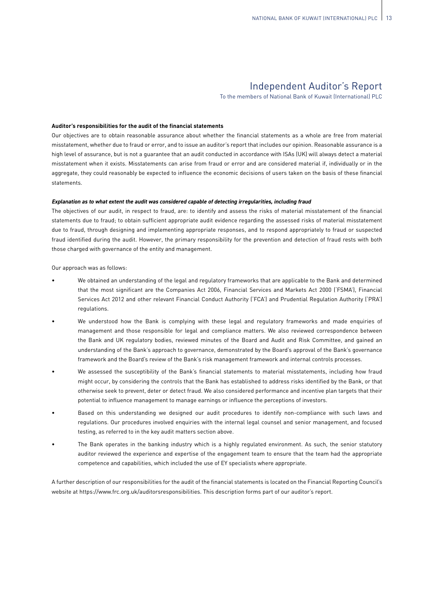To the members of National Bank of Kuwait (International) PLC

## **Auditor's responsibilities for the audit of the financial statements**

Our objectives are to obtain reasonable assurance about whether the financial statements as a whole are free from material misstatement, whether due to fraud or error, and to issue an auditor's report that includes our opinion. Reasonable assurance is a high level of assurance, but is not a guarantee that an audit conducted in accordance with ISAs (UK) will always detect a material misstatement when it exists. Misstatements can arise from fraud or error and are considered material if, individually or in the aggregate, they could reasonably be expected to influence the economic decisions of users taken on the basis of these financial statements.

#### *Explanation as to what extent the audit was considered capable of detecting irregularities, including fraud*

The objectives of our audit, in respect to fraud, are: to identify and assess the risks of material misstatement of the financial statements due to fraud; to obtain sufficient appropriate audit evidence regarding the assessed risks of material misstatement due to fraud, through designing and implementing appropriate responses, and to respond appropriately to fraud or suspected fraud identified during the audit. However, the primary responsibility for the prevention and detection of fraud rests with both those charged with governance of the entity and management.

Our approach was as follows:

- We obtained an understanding of the legal and regulatory frameworks that are applicable to the Bank and determined that the most significant are the Companies Act 2006, Financial Services and Markets Act 2000 ('FSMA'), Financial Services Act 2012 and other relevant Financial Conduct Authority ('FCA') and Prudential Regulation Authority ('PRA') regulations.
- We understood how the Bank is complying with these legal and regulatory frameworks and made enquiries of management and those responsible for legal and compliance matters. We also reviewed correspondence between the Bank and UK regulatory bodies, reviewed minutes of the Board and Audit and Risk Committee, and gained an understanding of the Bank's approach to governance, demonstrated by the Board's approval of the Bank's governance framework and the Board's review of the Bank's risk management framework and internal controls processes.
- We assessed the susceptibility of the Bank's financial statements to material misstatements, including how fraud might occur, by considering the controls that the Bank has established to address risks identified by the Bank, or that otherwise seek to prevent, deter or detect fraud. We also considered performance and incentive plan targets that their potential to influence management to manage earnings or influence the perceptions of investors.
- Based on this understanding we designed our audit procedures to identify non-compliance with such laws and regulations. Our procedures involved enquiries with the internal legal counsel and senior management, and focused testing, as referred to in the key audit matters section above.
- The Bank operates in the banking industry which is a highly regulated environment. As such, the senior statutory auditor reviewed the experience and expertise of the engagement team to ensure that the team had the appropriate competence and capabilities, which included the use of EY specialists where appropriate.

A further description of our responsibilities for the audit of the financial statements is located on the Financial Reporting Council's website at https://www.frc.org.uk/auditorsresponsibilities. This description forms part of our auditor's report.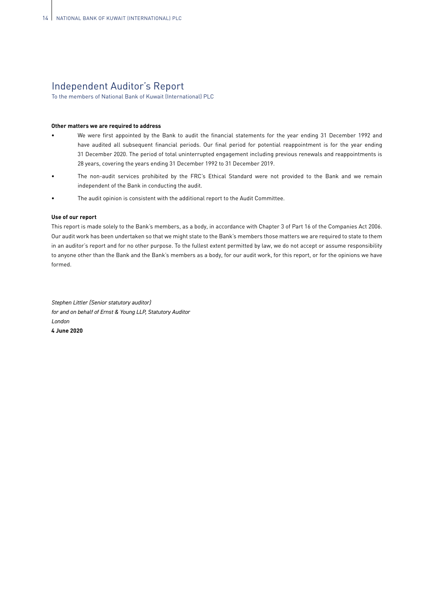To the members of National Bank of Kuwait (International) PLC

## **Other matters we are required to address**

- We were first appointed by the Bank to audit the financial statements for the year ending 31 December 1992 and have audited all subsequent financial periods. Our final period for potential reappointment is for the year ending 31 December 2020. The period of total uninterrupted engagement including previous renewals and reappointments is 28 years, covering the years ending 31 December 1992 to 31 December 2019.
- The non-audit services prohibited by the FRC's Ethical Standard were not provided to the Bank and we remain independent of the Bank in conducting the audit.
- The audit opinion is consistent with the additional report to the Audit Committee.

## **Use of our report**

This report is made solely to the Bank's members, as a body, in accordance with Chapter 3 of Part 16 of the Companies Act 2006. Our audit work has been undertaken so that we might state to the Bank's members those matters we are required to state to them in an auditor's report and for no other purpose. To the fullest extent permitted by law, we do not accept or assume responsibility to anyone other than the Bank and the Bank's members as a body, for our audit work, for this report, or for the opinions we have formed.

*Stephen Littler (Senior statutory auditor) for and on behalf of Ernst & Young LLP, Statutory Auditor London* **4 June 2020**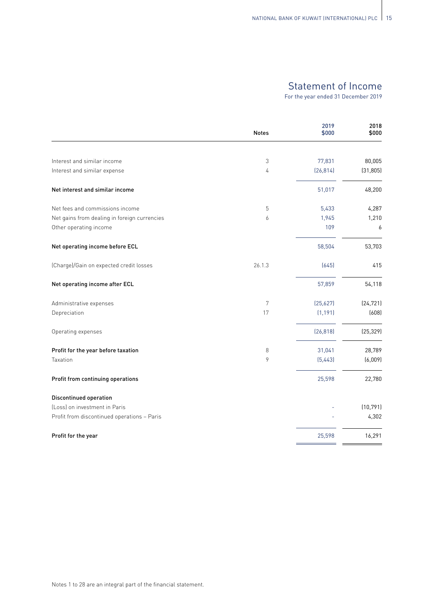## Statement of Income

For the year ended 31 December 2019

|                                              | <b>Notes</b>   | 2019<br>\$000 | 2018<br>\$000 |
|----------------------------------------------|----------------|---------------|---------------|
|                                              |                |               |               |
| Interest and similar income                  | 3              | 77,831        | 80,005        |
| Interest and similar expense                 | 4              | (26, 814)     | (31, 805)     |
| Net interest and similar income              |                | 51,017        | 48,200        |
| Net fees and commissions income              | 5              | 5,433         | 4,287         |
| Net gains from dealing in foreign currencies | 6              | 1,945         | 1,210         |
| Other operating income                       |                | 109           | 6             |
| Net operating income before ECL              |                | 58,504        | 53,703        |
| (Charge)/Gain on expected credit losses      | 26.1.3         | (645)         | 415           |
| Net operating income after ECL               |                | 57,859        | 54,118        |
| Administrative expenses                      | $\overline{7}$ | (25,627)      | (24, 721)     |
| Depreciation                                 | 17             | (1, 191)      | (608)         |
| Operating expenses                           |                | (26, 818)     | (25, 329)     |
| Profit for the year before taxation          | 8              | 31,041        | 28,789        |
| Taxation                                     | 9              | (5,443)       | (6,009)       |
| Profit from continuing operations            |                | 25,598        | 22,780        |
| <b>Discontinued operation</b>                |                |               |               |
| (Loss) on investment in Paris                |                |               | (10, 791)     |
| Profit from discontinued operations - Paris  |                |               | 4,302         |
| Profit for the year                          |                | 25,598        | 16,291        |
|                                              |                |               |               |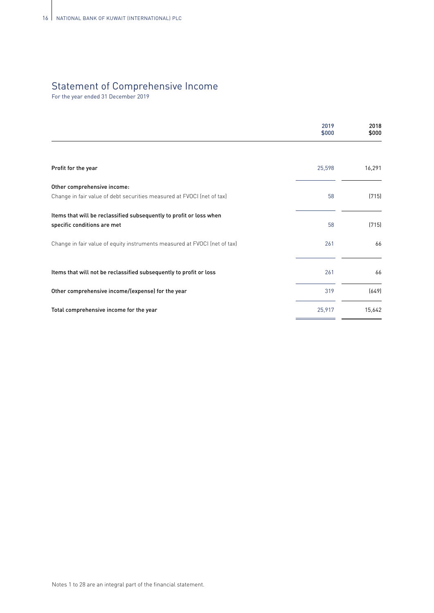## Statement of Comprehensive Income

For the year ended 31 December 2019

|                                                                           | 2019<br>\$000 | 2018<br>\$000 |
|---------------------------------------------------------------------------|---------------|---------------|
|                                                                           |               |               |
| Profit for the year                                                       | 25,598        | 16,291        |
| Other comprehensive income:                                               |               |               |
| Change in fair value of debt securities measured at FVOCI (net of tax)    | 58            | (715)         |
| Items that will be reclassified subsequently to profit or loss when       |               |               |
| specific conditions are met                                               | 58            | (715)         |
| Change in fair value of equity instruments measured at FVOCI (net of tax) | 261           | 66            |
| Items that will not be reclassified subsequently to profit or loss        | 261           | 66            |
| Other comprehensive income/(expense) for the year                         | 319           | (649)         |
| Total comprehensive income for the year                                   | 25,917        | 15,642        |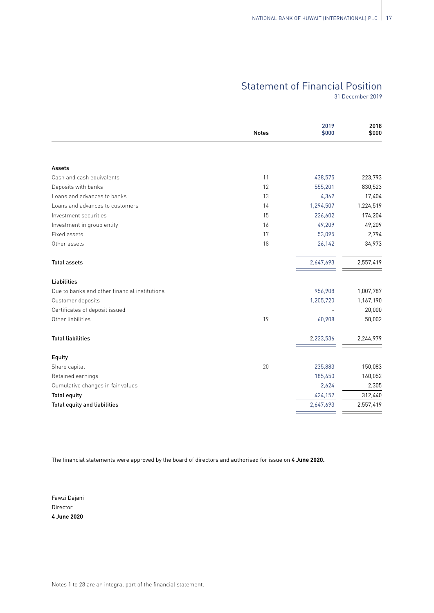# Statement of Financial Position

31 December 2019

|                                               | <b>Notes</b> | 2019<br>\$000 | 2018<br>\$000 |
|-----------------------------------------------|--------------|---------------|---------------|
|                                               |              |               |               |
| Assets                                        |              |               |               |
| Cash and cash equivalents                     | 11           | 438,575       | 223,793       |
| Deposits with banks                           | 12           | 555,201       | 830,523       |
| Loans and advances to banks                   | 13           | 4,362         | 17,404        |
| Loans and advances to customers               | 14           | 1,294,507     | 1,224,519     |
| Investment securities                         | 15           | 226,602       | 174,204       |
| Investment in group entity                    | 16           | 49,209        | 49,209        |
| Fixed assets                                  | 17           | 53,095        | 2,794         |
| Other assets                                  | 18           | 26,142        | 34,973        |
| <b>Total assets</b>                           |              | 2,647,693     | 2,557,419     |
| <b>Liabilities</b>                            |              |               |               |
| Due to banks and other financial institutions |              | 956,908       | 1,007,787     |
| Customer deposits                             |              | 1,205,720     | 1,167,190     |
| Certificates of deposit issued                |              |               | 20,000        |
| Other liabilities                             | 19           | 60,908        | 50,002        |
| <b>Total liabilities</b>                      |              | 2,223,536     | 2,244,979     |
| <b>Equity</b>                                 |              |               |               |
| Share capital                                 | 20           | 235,883       | 150,083       |
| Retained earnings                             |              | 185,650       | 160,052       |
| Cumulative changes in fair values             |              | 2,624         | 2,305         |
| <b>Total equity</b>                           |              | 424,157       | 312,440       |
| Total equity and liabilities                  |              | 2,647,693     | 2,557,419     |
|                                               |              |               |               |

The financial statements were approved by the board of directors and authorised for issue on **4 June 2020.**

Fawzi Dajani Director **4 June 2020**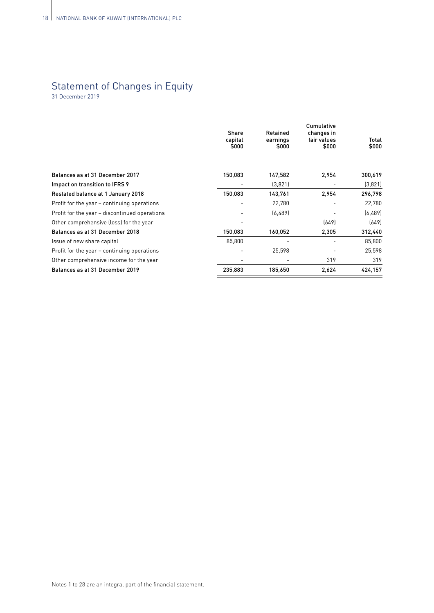## Statement of Changes in Equity

31 December 2019

|                                               |                  |                   | Cumulative                |              |
|-----------------------------------------------|------------------|-------------------|---------------------------|--------------|
|                                               | Share            | Retained          | changes in<br>fair values | <b>Total</b> |
|                                               | capital<br>\$000 | earnings<br>\$000 | \$000                     | \$000        |
|                                               |                  |                   |                           |              |
| Balances as at 31 December 2017               | 150,083          | 147,582           | 2,954                     | 300,619      |
| Impact on transition to IFRS 9                |                  | (3,821)           |                           | (3,821)      |
| Restated balance at 1 January 2018            | 150,083          | 143,761           | 2,954                     | 296,798      |
| Profit for the year - continuing operations   |                  | 22,780            |                           | 22,780       |
| Profit for the year - discontinued operations |                  | (6, 489)          |                           | (6, 489)     |
| Other comprehensive (loss) for the year       |                  |                   | (649)                     | (649)        |
| Balances as at 31 December 2018               | 150,083          | 160,052           | 2,305                     | 312,440      |
| Issue of new share capital                    | 85,800           |                   |                           | 85,800       |
| Profit for the year - continuing operations   |                  | 25,598            |                           | 25,598       |
| Other comprehensive income for the year       |                  |                   | 319                       | 319          |
| Balances as at 31 December 2019               | 235,883          | 185,650           | 2,624                     | 424,157      |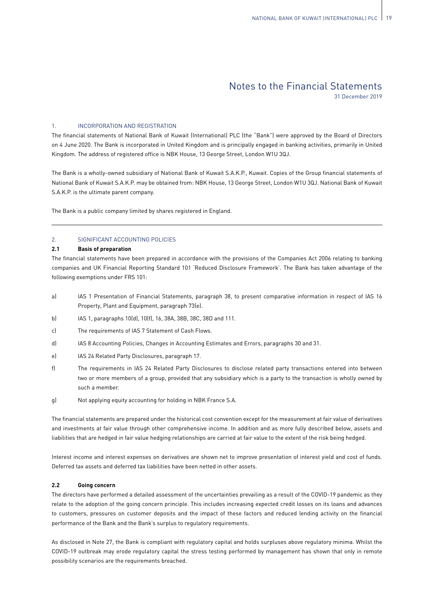31 December 2019

### 1. INCORPORATION AND REGISTRATION

The financial statements of National Bank of Kuwait (International) PLC (the "Bank") were approved by the Board of Directors on 4 June 2020. The Bank is incorporated in United Kingdom and is principally engaged in banking activities, primarily in United Kingdom. The address of registered office is NBK House, 13 George Street, London W1U 3QJ.

The Bank is a wholly-owned subsidiary of National Bank of Kuwait S.A.K.P., Kuwait. Copies of the Group financial statements of National Bank of Kuwait S.A.K.P. may be obtained from: NBK House, 13 George Street, London W1U 3QJ. National Bank of Kuwait S.A.K.P. is the ultimate parent company.

The Bank is a public company limited by shares registered in England.

## 2. SIGNIFICANT ACCOUNTING POLICIES

#### **2.1 Basis of preparation**

The financial statements have been prepared in accordance with the provisions of the Companies Act 2006 relating to banking companies and UK Financial Reporting Standard 101 'Reduced Disclosure Framework'. The Bank has taken advantage of the following exemptions under FRS 101:

- a) IAS 1 Presentation of Financial Statements, paragraph 38, to present comparative information in respect of IAS 16 Property, Plant and Equipment, paragraph 73(e).
- b) IAS 1, paragraphs 10(d), 10(f), 16, 38A, 38B, 38C, 38D and 111.
- c) The requirements of IAS 7 Statement of Cash Flows.
- d) IAS 8 Accounting Policies, Changes in Accounting Estimates and Errors, paragraphs 30 and 31.
- e) IAS 24 Related Party Disclosures, paragraph 17.
- f) The requirements in IAS 24 Related Party Disclosures to disclose related party transactions entered into between two or more members of a group, provided that any subsidiary which is a party to the transaction is wholly owned by such a member.
- g) Not applying equity accounting for holding in NBK France S.A.

The financial statements are prepared under the historical cost convention except for the measurement at fair value of derivatives and investments at fair value through other comprehensive income. In addition and as more fully described below, assets and liabilities that are hedged in fair value hedging relationships are carried at fair value to the extent of the risk being hedged.

Interest income and interest expenses on derivatives are shown net to improve presentation of interest yield and cost of funds. Deferred tax assets and deferred tax liabilities have been netted in other assets.

### **2.2 Going concern**

The directors have performed a detailed assessment of the uncertainties prevailing as a result of the COVID-19 pandemic as they relate to the adoption of the going concern principle. This includes increasing expected credit losses on its loans and advances to customers, pressures on customer deposits and the impact of these factors and reduced lending activity on the financial performance of the Bank and the Bank's surplus to regulatory requirements.

As disclosed in Note 27, the Bank is compliant with regulatory capital and holds surpluses above regulatory minima. Whilst the COVID-19 outbreak may erode regulatory capital the stress testing performed by management has shown that only in remote possibility scenarios are the requirements breached.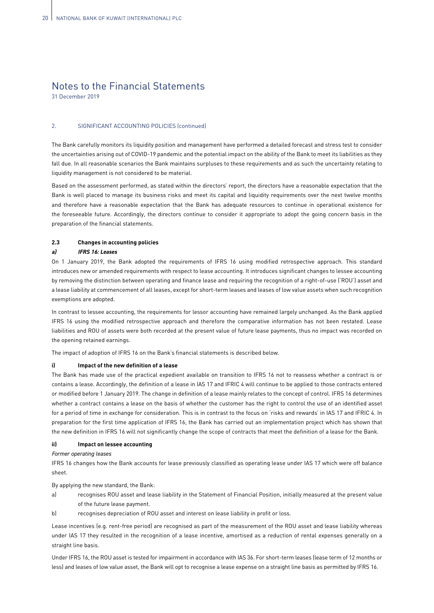31 December 2019

## 2. SIGNIFICANT ACCOUNTING POLICIES (continued)

The Bank carefully monitors its liquidity position and management have performed a detailed forecast and stress test to consider the uncertainties arising out of COVID-19 pandemic and the potential impact on the ability of the Bank to meet its liabilities as they fall due. In all reasonable scenarios the Bank maintains surpluses to these requirements and as such the uncertainty relating to liquidity management is not considered to be material.

Based on the assessment performed, as stated within the directors' report, the directors have a reasonable expectation that the Bank is well placed to manage its business risks and meet its capital and liquidity requirements over the next twelve months and therefore have a reasonable expectation that the Bank has adequate resources to continue in operational existence for the foreseeable future. Accordingly, the directors continue to consider it appropriate to adopt the going concern basis in the preparation of the financial statements.

## **2.3 Changes in accounting policies**

## *a) IFRS 16: Leases*

On 1 January 2019, the Bank adopted the requirements of IFRS 16 using modified retrospective approach. This standard introduces new or amended requirements with respect to lease accounting. It introduces significant changes to lessee accounting by removing the distinction between operating and finance lease and requiring the recognition of a right-of-use ('ROU') asset and a lease liability at commencement of all leases, except for short-term leases and leases of low value assets when such recognition exemptions are adopted.

In contrast to lessee accounting, the requirements for lessor accounting have remained largely unchanged. As the Bank applied IFRS 16 using the modified retrospective approach and therefore the comparative information has not been restated. Lease liabilities and ROU of assets were both recorded at the present value of future lease payments, thus no impact was recorded on the opening retained earnings.

The impact of adoption of IFRS 16 on the Bank's financial statements is described below.

### **i) Impact of the new definition of a lease**

The Bank has made use of the practical expedient available on transition to IFRS 16 not to reassess whether a contract is or contains a lease. Accordingly, the definition of a lease in IAS 17 and IFRIC 4 will continue to be applied to those contracts entered or modified before 1 January 2019. The change in definition of a lease mainly relates to the concept of control. IFRS 16 determines whether a contract contains a lease on the basis of whether the customer has the right to control the use of an identified asset for a period of time in exchange for consideration. This is in contrast to the focus on 'risks and rewards' in IAS 17 and IFRIC 4. In preparation for the first time application of IFRS 16, the Bank has carried out an implementation project which has shown that the new definition in IFRS 16 will not significantly change the scope of contracts that meet the definition of a lease for the Bank.

## **ii) Impact on lessee accounting**

### *Former operating leases*

IFRS 16 changes how the Bank accounts for lease previously classified as operating lease under IAS 17 which were off balance sheet.

By applying the new standard, the Bank:

- a) recognises ROU asset and lease liability in the Statement of Financial Position, initially measured at the present value of the future lease payment.
- b) recognises depreciation of ROU asset and interest on lease liability in profit or loss.

Lease incentives (e.g. rent-free period) are recognised as part of the measurement of the ROU asset and lease liability whereas under IAS 17 they resulted in the recognition of a lease incentive, amortised as a reduction of rental expenses generally on a straight line basis.

Under IFRS 16, the ROU asset is tested for impairment in accordance with IAS 36. For short-term leases (lease term of 12 months or less) and leases of low value asset, the Bank will opt to recognise a lease expense on a straight line basis as permitted by IFRS 16.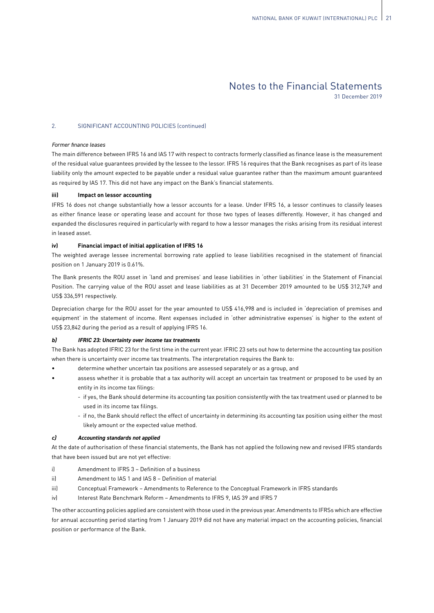31 December 2019

## 2. SIGNIFICANT ACCOUNTING POLICIES (continued)

#### *Former finance leases*

The main difference between IFRS 16 and IAS 17 with respect to contracts formerly classified as finance lease is the measurement of the residual value guarantees provided by the lessee to the lessor. IFRS 16 requires that the Bank recognises as part of its lease liability only the amount expected to be payable under a residual value guarantee rather than the maximum amount guaranteed as required by IAS 17. This did not have any impact on the Bank's financial statements.

### **iii) Impact on lessor accounting**

IFRS 16 does not change substantially how a lessor accounts for a lease. Under IFRS 16, a lessor continues to classify leases as either finance lease or operating lease and account for those two types of leases differently. However, it has changed and expanded the disclosures required in particularly with regard to how a lessor manages the risks arising from its residual interest in leased asset.

## **iv) Financial impact of initial application of IFRS 16**

The weighted average lessee incremental borrowing rate applied to lease liabilities recognised in the statement of financial position on 1 January 2019 is 0.61%.

The Bank presents the ROU asset in 'land and premises' and lease liabilities in 'other liabilities' in the Statement of Financial Position. The carrying value of the ROU asset and lease liabilities as at 31 December 2019 amounted to be US\$ 312,749 and US\$ 336,591 respectively.

Depreciation charge for the ROU asset for the year amounted to US\$ 416,998 and is included in 'depreciation of premises and equipment' in the statement of income. Rent expenses included in 'other administrative expenses' is higher to the extent of US\$ 23,842 during the period as a result of applying IFRS 16.

## *b) IFRIC 23: Uncertainty over income tax treatments*

The Bank has adopted IFRIC 23 for the first time in the current year. IFRIC 23 sets out how to determine the accounting tax position when there is uncertainty over income tax treatments. The interpretation requires the Bank to:

- determine whether uncertain tax positions are assessed separately or as a group, and
	- assess whether it is probable that a tax authority will accept an uncertain tax treatment or proposed to be used by an entity in its income tax filings:
		- if yes, the Bank should determine its accounting tax position consistently with the tax treatment used or planned to be used in its income tax filings.
		- if no, the Bank should reflect the effect of uncertainty in determining its accounting tax position using either the most likely amount or the expected value method.

#### *c) Accounting standards not applied*

At the date of authorisation of these financial statements, the Bank has not applied the following new and revised IFRS standards that have been issued but are not yet effective:

- i) Amendment to IFRS 3 Definition of a business
- ii) Amendment to IAS 1 and IAS 8 Definition of material
- iii) Conceptual Framework Amendments to Reference to the Conceptual Framework in IFRS standards
- iv) Interest Rate Benchmark Reform Amendments to IFRS 9, IAS 39 and IFRS 7

The other accounting policies applied are consistent with those used in the previous year. Amendments to IFRSs which are effective for annual accounting period starting from 1 January 2019 did not have any material impact on the accounting policies, financial position or performance of the Bank.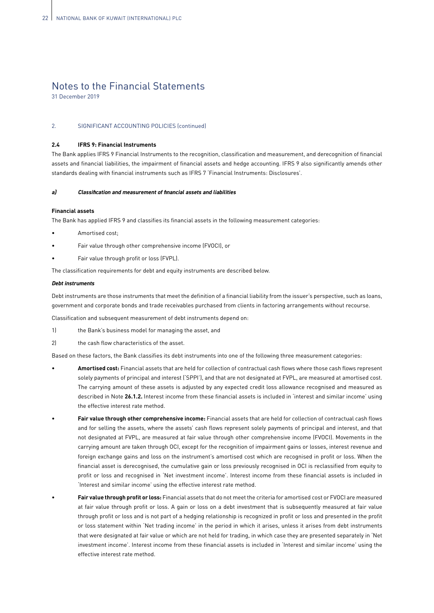31 December 2019

## 2. SIGNIFICANT ACCOUNTING POLICIES (continued)

### **2.4 IFRS 9: Financial Instruments**

The Bank applies IFRS 9 Financial Instruments to the recognition, classification and measurement, and derecognition of financial assets and financial liabilities, the impairment of financial assets and hedge accounting. IFRS 9 also significantly amends other standards dealing with financial instruments such as IFRS 7 'Financial Instruments: Disclosures'.

### *a) Classification and measurement of financial assets and liabilities*

## **Financial assets**

The Bank has applied IFRS 9 and classifies its financial assets in the following measurement categories:

- Amortised cost;
- Fair value through other comprehensive income (FVOCI), or
- Fair value through profit or loss (FVPL).

The classification requirements for debt and equity instruments are described below.

#### *Debt instruments*

Debt instruments are those instruments that meet the definition of a financial liability from the issuer's perspective, such as loans, government and corporate bonds and trade receivables purchased from clients in factoring arrangements without recourse.

Classification and subsequent measurement of debt instruments depend on:

- 1) the Bank's business model for managing the asset, and
- 2) the cash flow characteristics of the asset.

Based on these factors, the Bank classifies its debt instruments into one of the following three measurement categories:

- **Amortised cost:** Financial assets that are held for collection of contractual cash flows where those cash flows represent solely payments of principal and interest ('SPPI'), and that are not designated at FVPL, are measured at amortised cost. The carrying amount of these assets is adjusted by any expected credit loss allowance recognised and measured as described in Note **26.1.2.** Interest income from these financial assets is included in 'interest and similar income' using the effective interest rate method.
- **Fair value through other comprehensive income:** Financial assets that are held for collection of contractual cash flows and for selling the assets, where the assets' cash flows represent solely payments of principal and interest, and that not designated at FVPL, are measured at fair value through other comprehensive income (FVOCI). Movements in the carrying amount are taken through OCI, except for the recognition of impairment gains or losses, interest revenue and foreign exchange gains and loss on the instrument's amortised cost which are recognised in profit or loss. When the financial asset is derecognised, the cumulative gain or loss previously recognised in OCI is reclassified from equity to profit or loss and recognised in 'Net investment income'. Interest income from these financial assets is included in 'Interest and similar income' using the effective interest rate method.
- **Fair value through profit or loss:** Financial assets that do not meet the criteria for amortised cost or FVOCI are measured at fair value through profit or loss. A gain or loss on a debt investment that is subsequently measured at fair value through profit or loss and is not part of a hedging relationship is recognized in profit or loss and presented in the profit or loss statement within 'Net trading income' in the period in which it arises, unless it arises from debt instruments that were designated at fair value or which are not held for trading, in which case they are presented separately in 'Net investment income'. Interest income from these financial assets is included in 'Interest and similar income' using the effective interest rate method.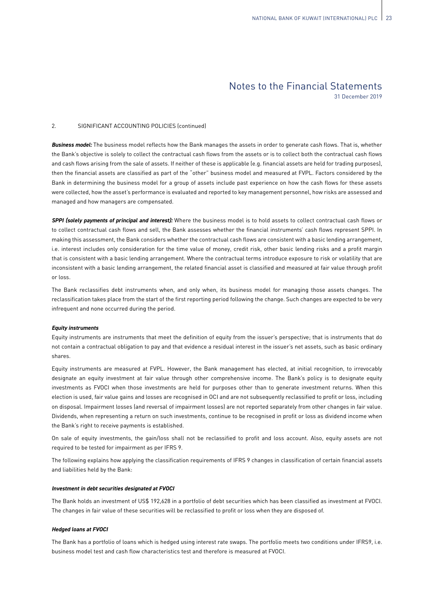31 December 2019

### 2. SIGNIFICANT ACCOUNTING POLICIES (continued)

*Business model:* The business model reflects how the Bank manages the assets in order to generate cash flows. That is, whether the Bank's objective is solely to collect the contractual cash flows from the assets or is to collect both the contractual cash flows and cash flows arising from the sale of assets. If neither of these is applicable (e.g. financial assets are held for trading purposes), then the financial assets are classified as part of the "other" business model and measured at FVPL. Factors considered by the Bank in determining the business model for a group of assets include past experience on how the cash flows for these assets were collected, how the asset's performance is evaluated and reported to key management personnel, how risks are assessed and managed and how managers are compensated.

*SPPI (solely payments of principal and interest):* Where the business model is to hold assets to collect contractual cash flows or to collect contractual cash flows and sell, the Bank assesses whether the financial instruments' cash flows represent SPPI. In making this assessment, the Bank considers whether the contractual cash flows are consistent with a basic lending arrangement, i.e. interest includes only consideration for the time value of money, credit risk, other basic lending risks and a profit margin that is consistent with a basic lending arrangement. Where the contractual terms introduce exposure to risk or volatility that are inconsistent with a basic lending arrangement, the related financial asset is classified and measured at fair value through profit or loss.

The Bank reclassifies debt instruments when, and only when, its business model for managing those assets changes. The reclassification takes place from the start of the first reporting period following the change. Such changes are expected to be very infrequent and none occurred during the period.

#### *Equity instruments*

Equity instruments are instruments that meet the definition of equity from the issuer's perspective; that is instruments that do not contain a contractual obligation to pay and that evidence a residual interest in the issuer's net assets, such as basic ordinary shares.

Equity instruments are measured at FVPL. However, the Bank management has elected, at initial recognition, to irrevocably designate an equity investment at fair value through other comprehensive income. The Bank's policy is to designate equity investments as FVOCI when those investments are held for purposes other than to generate investment returns. When this election is used, fair value gains and losses are recognised in OCI and are not subsequently reclassified to profit or loss, including on disposal. Impairment losses (and reversal of impairment losses) are not reported separately from other changes in fair value. Dividends, when representing a return on such investments, continue to be recognised in profit or loss as dividend income when the Bank's right to receive payments is established.

On sale of equity investments, the gain/loss shall not be reclassified to profit and loss account. Also, equity assets are not required to be tested for impairment as per IFRS 9.

The following explains how applying the classification requirements of IFRS 9 changes in classification of certain financial assets and liabilities held by the Bank:

#### *Investment in debt securities designated at FVOCI*

The Bank holds an investment of US\$ 192,628 in a portfolio of debt securities which has been classified as investment at FVOCI. The changes in fair value of these securities will be reclassified to profit or loss when they are disposed of.

#### *Hedged loans at FVOCI*

The Bank has a portfolio of loans which is hedged using interest rate swaps. The portfolio meets two conditions under IFRS9, i.e. business model test and cash flow characteristics test and therefore is measured at FVOCI.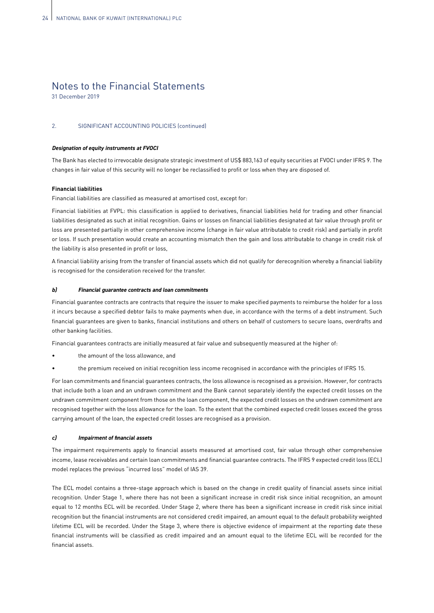31 December 2019

## 2. SIGNIFICANT ACCOUNTING POLICIES (continued)

### *Designation of equity instruments at FVOCI*

The Bank has elected to irrevocable designate strategic investment of US\$ 883,163 of equity securities at FVOCI under IFRS 9. The changes in fair value of this security will no longer be reclassified to profit or loss when they are disposed of.

## **Financial liabilities**

Financial liabilities are classified as measured at amortised cost, except for:

Financial liabilities at FVPL: this classification is applied to derivatives, financial liabilities held for trading and other financial liabilities designated as such at initial recognition. Gains or losses on financial liabilities designated at fair value through profit or loss are presented partially in other comprehensive income (change in fair value attributable to credit risk) and partially in profit or loss. If such presentation would create an accounting mismatch then the gain and loss attributable to change in credit risk of the liability is also presented in profit or loss,

A financial liability arising from the transfer of financial assets which did not qualify for derecognition whereby a financial liability is recognised for the consideration received for the transfer.

## *b) Financial guarantee contracts and loan commitments*

Financial guarantee contracts are contracts that require the issuer to make specified payments to reimburse the holder for a loss it incurs because a specified debtor fails to make payments when due, in accordance with the terms of a debt instrument. Such financial guarantees are given to banks, financial institutions and others on behalf of customers to secure loans, overdrafts and other banking facilities.

Financial guarantees contracts are initially measured at fair value and subsequently measured at the higher of:

- the amount of the loss allowance, and
- the premium received on initial recognition less income recognised in accordance with the principles of IFRS 15.

For loan commitments and financial guarantees contracts, the loss allowance is recognised as a provision. However, for contracts that include both a loan and an undrawn commitment and the Bank cannot separately identify the expected credit losses on the undrawn commitment component from those on the loan component, the expected credit losses on the undrawn commitment are recognised together with the loss allowance for the loan. To the extent that the combined expected credit losses exceed the gross carrying amount of the loan, the expected credit losses are recognised as a provision.

### *c) Impairment of financial assets*

The impairment requirements apply to financial assets measured at amortised cost, fair value through other comprehensive income, lease receivables and certain loan commitments and financial guarantee contracts. The IFRS 9 expected credit loss (ECL) model replaces the previous "incurred loss" model of IAS 39.

The ECL model contains a three-stage approach which is based on the change in credit quality of financial assets since initial recognition. Under Stage 1, where there has not been a significant increase in credit risk since initial recognition, an amount equal to 12 months ECL will be recorded. Under Stage 2, where there has been a significant increase in credit risk since initial recognition but the financial instruments are not considered credit impaired, an amount equal to the default probability weighted lifetime ECL will be recorded. Under the Stage 3, where there is objective evidence of impairment at the reporting date these financial instruments will be classified as credit impaired and an amount equal to the lifetime ECL will be recorded for the financial assets.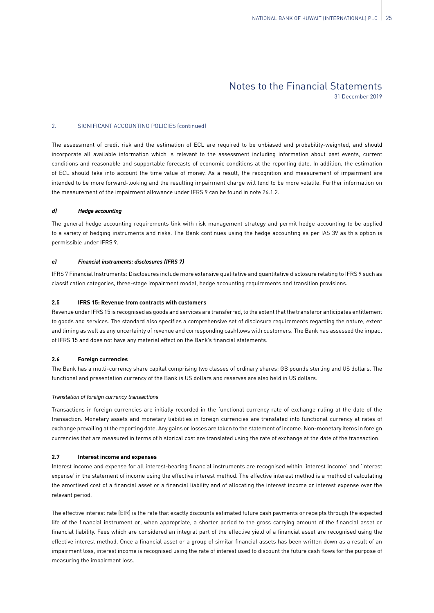31 December 2019

## 2. SIGNIFICANT ACCOUNTING POLICIES (continued)

The assessment of credit risk and the estimation of ECL are required to be unbiased and probability-weighted, and should incorporate all available information which is relevant to the assessment including information about past events, current conditions and reasonable and supportable forecasts of economic conditions at the reporting date. In addition, the estimation of ECL should take into account the time value of money. As a result, the recognition and measurement of impairment are intended to be more forward-looking and the resulting impairment charge will tend to be more volatile. Further information on the measurement of the impairment allowance under IFRS 9 can be found in note 26.1.2.

## *d) Hedge accounting*

The general hedge accounting requirements link with risk management strategy and permit hedge accounting to be applied to a variety of hedging instruments and risks. The Bank continues using the hedge accounting as per IAS 39 as this option is permissible under IFRS 9.

#### *e) Financial instruments: disclosures (IFRS 7)*

IFRS 7 Financial Instruments: Disclosures include more extensive qualitative and quantitative disclosure relating to IFRS 9 such as classification categories, three-stage impairment model, hedge accounting requirements and transition provisions.

### **2.5 IFRS 15: Revenue from contracts with customers**

Revenue under IFRS 15 is recognised as goods and services are transferred, to the extent that the transferor anticipates entitlement to goods and services. The standard also specifies a comprehensive set of disclosure requirements regarding the nature, extent and timing as well as any uncertainty of revenue and corresponding cashflows with customers. The Bank has assessed the impact of IFRS 15 and does not have any material effect on the Bank's financial statements.

#### **2.6 Foreign currencies**

The Bank has a multi-currency share capital comprising two classes of ordinary shares: GB pounds sterling and US dollars. The functional and presentation currency of the Bank is US dollars and reserves are also held in US dollars.

#### *Translation of foreign currency transactions*

Transactions in foreign currencies are initially recorded in the functional currency rate of exchange ruling at the date of the transaction. Monetary assets and monetary liabilities in foreign currencies are translated into functional currency at rates of exchange prevailing at the reporting date. Any gains or losses are taken to the statement of income. Non-monetary items in foreign currencies that are measured in terms of historical cost are translated using the rate of exchange at the date of the transaction.

## **2.7 Interest income and expenses**

Interest income and expense for all interest-bearing financial instruments are recognised within 'interest income' and 'interest expense' in the statement of income using the effective interest method. The effective interest method is a method of calculating the amortised cost of a financial asset or a financial liability and of allocating the interest income or interest expense over the relevant period.

The effective interest rate (EIR) is the rate that exactly discounts estimated future cash payments or receipts through the expected life of the financial instrument or, when appropriate, a shorter period to the gross carrying amount of the financial asset or financial liability. Fees which are considered an integral part of the effective yield of a financial asset are recognised using the effective interest method. Once a financial asset or a group of similar financial assets has been written down as a result of an impairment loss, interest income is recognised using the rate of interest used to discount the future cash flows for the purpose of measuring the impairment loss.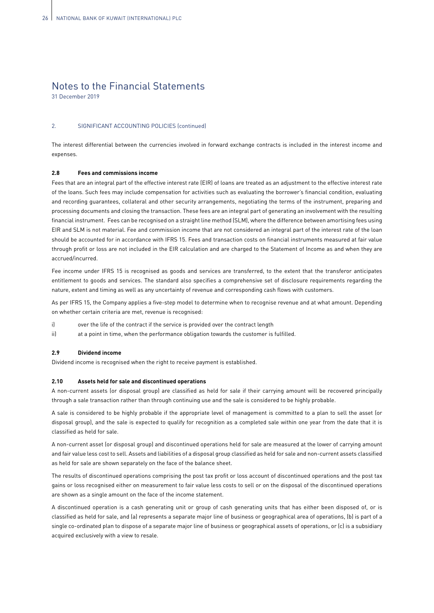31 December 2019

## 2. SIGNIFICANT ACCOUNTING POLICIES (continued)

The interest differential between the currencies involved in forward exchange contracts is included in the interest income and expenses.

### **2.8 Fees and commissions income**

Fees that are an integral part of the effective interest rate (EIR) of loans are treated as an adjustment to the effective interest rate of the loans. Such fees may include compensation for activities such as evaluating the borrower's financial condition, evaluating and recording guarantees, collateral and other security arrangements, negotiating the terms of the instrument, preparing and processing documents and closing the transaction. These fees are an integral part of generating an involvement with the resulting financial instrument. Fees can be recognised on a straight line method (SLM), where the difference between amortising fees using EIR and SLM is not material. Fee and commission income that are not considered an integral part of the interest rate of the loan should be accounted for in accordance with IFRS 15. Fees and transaction costs on financial instruments measured at fair value through profit or loss are not included in the EIR calculation and are charged to the Statement of Income as and when they are accrued/incurred.

Fee income under IFRS 15 is recognised as goods and services are transferred, to the extent that the transferor anticipates entitlement to goods and services. The standard also specifies a comprehensive set of disclosure requirements regarding the nature, extent and timing as well as any uncertainty of revenue and corresponding cash flows with customers.

As per IFRS 15, the Company applies a five-step model to determine when to recognise revenue and at what amount. Depending on whether certain criteria are met, revenue is recognised:

- i) over the life of the contract if the service is provided over the contract length
- ii) at a point in time, when the performance obligation towards the customer is fulfilled.

### **2.9 Dividend income**

Dividend income is recognised when the right to receive payment is established.

### **2.10 Assets held for sale and discontinued operations**

A non-current assets (or disposal group) are classified as held for sale if their carrying amount will be recovered principally through a sale transaction rather than through continuing use and the sale is considered to be highly probable.

A sale is considered to be highly probable if the appropriate level of management is committed to a plan to sell the asset (or disposal group), and the sale is expected to qualify for recognition as a completed sale within one year from the date that it is classified as held for sale.

A non-current asset (or disposal group) and discontinued operations held for sale are measured at the lower of carrying amount and fair value less cost to sell. Assets and liabilities of a disposal group classified as held for sale and non-current assets classified as held for sale are shown separately on the face of the balance sheet.

The results of discontinued operations comprising the post tax profit or loss account of discontinued operations and the post tax gains or loss recognised either on measurement to fair value less costs to sell or on the disposal of the discontinued operations are shown as a single amount on the face of the income statement.

A discontinued operation is a cash generating unit or group of cash generating units that has either been disposed of, or is classified as held for sale, and (a) represents a separate major line of business or geographical area of operations, (b) is part of a single co-ordinated plan to dispose of a separate major line of business or geographical assets of operations, or (c) is a subsidiary acquired exclusively with a view to resale.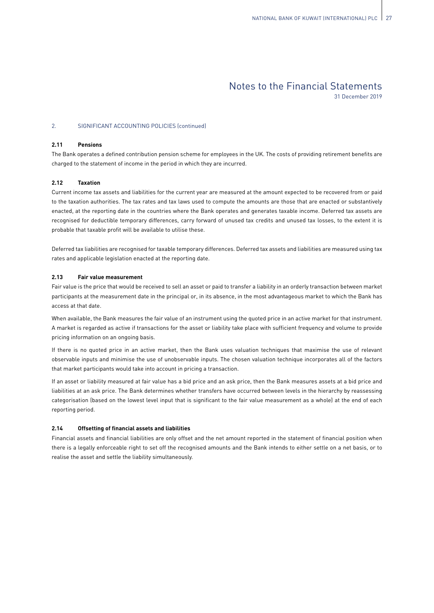31 December 2019

## 2. SIGNIFICANT ACCOUNTING POLICIES (continued)

#### **2.11 Pensions**

The Bank operates a defined contribution pension scheme for employees in the UK. The costs of providing retirement benefits are charged to the statement of income in the period in which they are incurred.

### **2.12 Taxation**

Current income tax assets and liabilities for the current year are measured at the amount expected to be recovered from or paid to the taxation authorities. The tax rates and tax laws used to compute the amounts are those that are enacted or substantively enacted, at the reporting date in the countries where the Bank operates and generates taxable income. Deferred tax assets are recognised for deductible temporary differences, carry forward of unused tax credits and unused tax losses, to the extent it is probable that taxable profit will be available to utilise these.

Deferred tax liabilities are recognised for taxable temporary differences. Deferred tax assets and liabilities are measured using tax rates and applicable legislation enacted at the reporting date.

### **2.13 Fair value measurement**

Fair value is the price that would be received to sell an asset or paid to transfer a liability in an orderly transaction between market participants at the measurement date in the principal or, in its absence, in the most advantageous market to which the Bank has access at that date.

When available, the Bank measures the fair value of an instrument using the quoted price in an active market for that instrument. A market is regarded as active if transactions for the asset or liability take place with sufficient frequency and volume to provide pricing information on an ongoing basis.

If there is no quoted price in an active market, then the Bank uses valuation techniques that maximise the use of relevant observable inputs and minimise the use of unobservable inputs. The chosen valuation technique incorporates all of the factors that market participants would take into account in pricing a transaction.

If an asset or liability measured at fair value has a bid price and an ask price, then the Bank measures assets at a bid price and liabilities at an ask price. The Bank determines whether transfers have occurred between levels in the hierarchy by reassessing categorisation (based on the lowest level input that is significant to the fair value measurement as a whole) at the end of each reporting period.

#### **2.14 Offsetting of financial assets and liabilities**

Financial assets and financial liabilities are only offset and the net amount reported in the statement of financial position when there is a legally enforceable right to set off the recognised amounts and the Bank intends to either settle on a net basis, or to realise the asset and settle the liability simultaneously.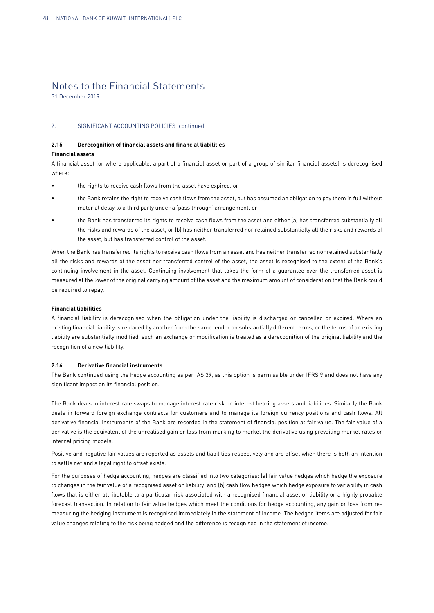31 December 2019

## 2. SIGNIFICANT ACCOUNTING POLICIES (continued)

## **2.15 Derecognition of financial assets and financial liabilities**

### **Financial assets**

A financial asset (or where applicable, a part of a financial asset or part of a group of similar financial assets) is derecognised where:

- the rights to receive cash flows from the asset have expired, or
- the Bank retains the right to receive cash flows from the asset, but has assumed an obligation to pay them in full without material delay to a third party under a 'pass through' arrangement, or
- the Bank has transferred its rights to receive cash flows from the asset and either (a) has transferred substantially all the risks and rewards of the asset, or (b) has neither transferred nor retained substantially all the risks and rewards of the asset, but has transferred control of the asset.

When the Bank has transferred its rights to receive cash flows from an asset and has neither transferred nor retained substantially all the risks and rewards of the asset nor transferred control of the asset, the asset is recognised to the extent of the Bank's continuing involvement in the asset. Continuing involvement that takes the form of a guarantee over the transferred asset is measured at the lower of the original carrying amount of the asset and the maximum amount of consideration that the Bank could be required to repay.

## **Financial liabilities**

A financial liability is derecognised when the obligation under the liability is discharged or cancelled or expired. Where an existing financial liability is replaced by another from the same lender on substantially different terms, or the terms of an existing liability are substantially modified, such an exchange or modification is treated as a derecognition of the original liability and the recognition of a new liability.

### **2.16 Derivative financial instruments**

The Bank continued using the hedge accounting as per IAS 39, as this option is permissible under IFRS 9 and does not have any significant impact on its financial position.

The Bank deals in interest rate swaps to manage interest rate risk on interest bearing assets and liabilities. Similarly the Bank deals in forward foreign exchange contracts for customers and to manage its foreign currency positions and cash flows. All derivative financial instruments of the Bank are recorded in the statement of financial position at fair value. The fair value of a derivative is the equivalent of the unrealised gain or loss from marking to market the derivative using prevailing market rates or internal pricing models.

Positive and negative fair values are reported as assets and liabilities respectively and are offset when there is both an intention to settle net and a legal right to offset exists.

For the purposes of hedge accounting, hedges are classified into two categories: (a) fair value hedges which hedge the exposure to changes in the fair value of a recognised asset or liability, and (b) cash flow hedges which hedge exposure to variability in cash flows that is either attributable to a particular risk associated with a recognised financial asset or liability or a highly probable forecast transaction. In relation to fair value hedges which meet the conditions for hedge accounting, any gain or loss from remeasuring the hedging instrument is recognised immediately in the statement of income. The hedged items are adjusted for fair value changes relating to the risk being hedged and the difference is recognised in the statement of income.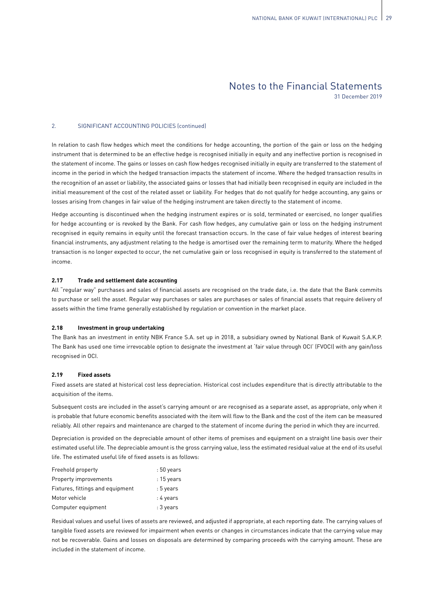31 December 2019

## 2. SIGNIFICANT ACCOUNTING POLICIES (continued)

In relation to cash flow hedges which meet the conditions for hedge accounting, the portion of the gain or loss on the hedging instrument that is determined to be an effective hedge is recognised initially in equity and any ineffective portion is recognised in the statement of income. The gains or losses on cash flow hedges recognised initially in equity are transferred to the statement of income in the period in which the hedged transaction impacts the statement of income. Where the hedged transaction results in the recognition of an asset or liability, the associated gains or losses that had initially been recognised in equity are included in the initial measurement of the cost of the related asset or liability. For hedges that do not qualify for hedge accounting, any gains or losses arising from changes in fair value of the hedging instrument are taken directly to the statement of income.

Hedge accounting is discontinued when the hedging instrument expires or is sold, terminated or exercised, no longer qualifies for hedge accounting or is revoked by the Bank. For cash flow hedges, any cumulative gain or loss on the hedging instrument recognised in equity remains in equity until the forecast transaction occurs. In the case of fair value hedges of interest bearing financial instruments, any adjustment relating to the hedge is amortised over the remaining term to maturity. Where the hedged transaction is no longer expected to occur, the net cumulative gain or loss recognised in equity is transferred to the statement of income.

## **2.17 Trade and settlement date accounting**

All "regular way" purchases and sales of financial assets are recognised on the trade date, i.e. the date that the Bank commits to purchase or sell the asset. Regular way purchases or sales are purchases or sales of financial assets that require delivery of assets within the time frame generally established by regulation or convention in the market place.

#### **2.18 Investment in group undertaking**

The Bank has an investment in entity NBK France S.A. set up in 2018, a subsidiary owned by National Bank of Kuwait S.A.K.P. The Bank has used one time irrevocable option to designate the investment at 'fair value through OCI' (FVOCI) with any gain/loss recognised in OCI.

#### **2.19 Fixed assets**

Fixed assets are stated at historical cost less depreciation. Historical cost includes expenditure that is directly attributable to the acquisition of the items.

Subsequent costs are included in the asset's carrying amount or are recognised as a separate asset, as appropriate, only when it is probable that future economic benefits associated with the item will flow to the Bank and the cost of the item can be measured reliably. All other repairs and maintenance are charged to the statement of income during the period in which they are incurred.

Depreciation is provided on the depreciable amount of other items of premises and equipment on a straight line basis over their estimated useful life. The depreciable amount is the gross carrying value, less the estimated residual value at the end of its useful life. The estimated useful life of fixed assets is as follows:

| Freehold property                | $:50$ years  |
|----------------------------------|--------------|
| Property improvements            | $: 15$ years |
| Fixtures, fittings and equipment | : 5 years    |
| Motor vehicle                    | : 4 years    |
| Computer equipment               | : 3 years    |

Residual values and useful lives of assets are reviewed, and adjusted if appropriate, at each reporting date. The carrying values of tangible fixed assets are reviewed for impairment when events or changes in circumstances indicate that the carrying value may not be recoverable. Gains and losses on disposals are determined by comparing proceeds with the carrying amount. These are included in the statement of income.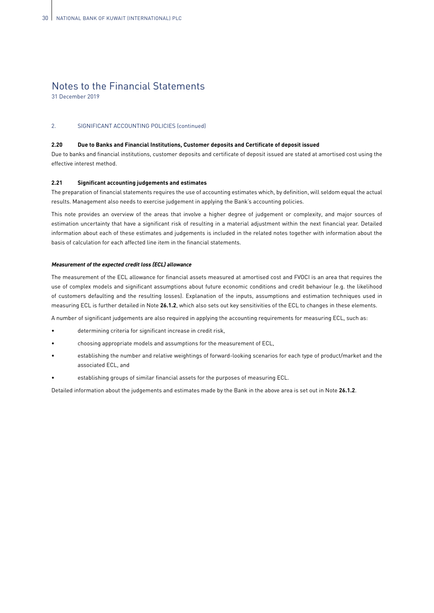31 December 2019

## 2. SIGNIFICANT ACCOUNTING POLICIES (continued)

### **2.20 Due to Banks and Financial Institutions, Customer deposits and Certificate of deposit issued**

Due to banks and financial institutions, customer deposits and certificate of deposit issued are stated at amortised cost using the effective interest method.

## **2.21 Significant accounting judgements and estimates**

The preparation of financial statements requires the use of accounting estimates which, by definition, will seldom equal the actual results. Management also needs to exercise judgement in applying the Bank's accounting policies.

This note provides an overview of the areas that involve a higher degree of judgement or complexity, and major sources of estimation uncertainty that have a significant risk of resulting in a material adjustment within the next financial year. Detailed information about each of these estimates and judgements is included in the related notes together with information about the basis of calculation for each affected line item in the financial statements.

### *Measurement of the expected credit loss (ECL) allowance*

The measurement of the ECL allowance for financial assets measured at amortised cost and FVOCI is an area that requires the use of complex models and significant assumptions about future economic conditions and credit behaviour (e.g. the likelihood of customers defaulting and the resulting losses). Explanation of the inputs, assumptions and estimation techniques used in measuring ECL is further detailed in Note **26.1.2**, which also sets out key sensitivities of the ECL to changes in these elements.

A number of significant judgements are also required in applying the accounting requirements for measuring ECL, such as:

- determining criteria for significant increase in credit risk,
- choosing appropriate models and assumptions for the measurement of ECL,
- establishing the number and relative weightings of forward-looking scenarios for each type of product/market and the associated ECL, and
- establishing groups of similar financial assets for the purposes of measuring ECL.

Detailed information about the judgements and estimates made by the Bank in the above area is set out in Note **26.1.2**.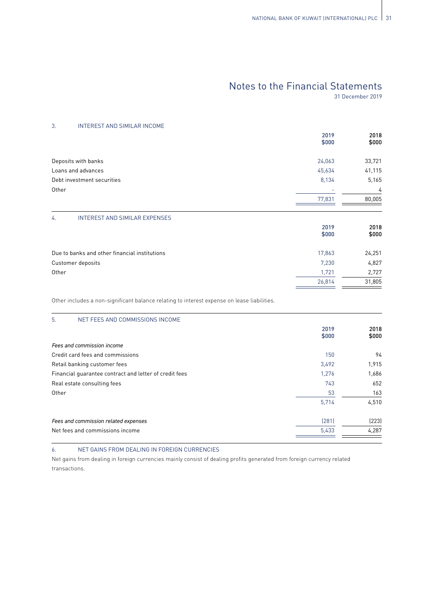31 December 2019

## 3. INTEREST AND SIMILAR INCOME

|                                               | 2019<br>\$000 | 2018<br>\$000 |
|-----------------------------------------------|---------------|---------------|
| Deposits with banks                           | 24,063        | 33,721        |
| Loans and advances                            | 45,634        | 41,115        |
| Debt investment securities                    | 8,134         | 5,165         |
| Other                                         |               | 4             |
|                                               | 77,831        | 80,005        |
| INTEREST AND SIMILAR EXPENSES<br>4.           |               |               |
|                                               | 2019<br>\$000 | 2018<br>\$000 |
| Due to banks and other financial institutions | 17,863        | 24,251        |
| Customer deposits                             | 7,230         | 4,827         |
| Other                                         | 1,721         | 2,727         |
|                                               | 26,814        | 31,805        |
|                                               |               |               |

Other includes a non-significant balance relating to interest expense on lease liabilities.

| 5.    | NET FEES AND COMMISSIONS INCOME                        |               |               |
|-------|--------------------------------------------------------|---------------|---------------|
|       |                                                        | 2019<br>\$000 | 2018<br>\$000 |
|       | Fees and commission income                             |               |               |
|       | Credit card fees and commissions                       | 150           | 94            |
|       | Retail banking customer fees                           | 3,492         | 1,915         |
|       | Financial quarantee contract and letter of credit fees | 1,276         | 1,686         |
|       | Real estate consulting fees                            | 743           | 652           |
| Other |                                                        | 53            | 163           |
|       |                                                        | 5,714         | 4,510         |
|       | Fees and commission related expenses                   | (281)         | [223]         |
|       | Net fees and commissions income                        | 5,433         | 4,287         |
|       |                                                        |               |               |

## 6. NET GAINS FROM DEALING IN FOREIGN CURRENCIES

Net gains from dealing in foreign currencies mainly consist of dealing profits generated from foreign currency related transactions.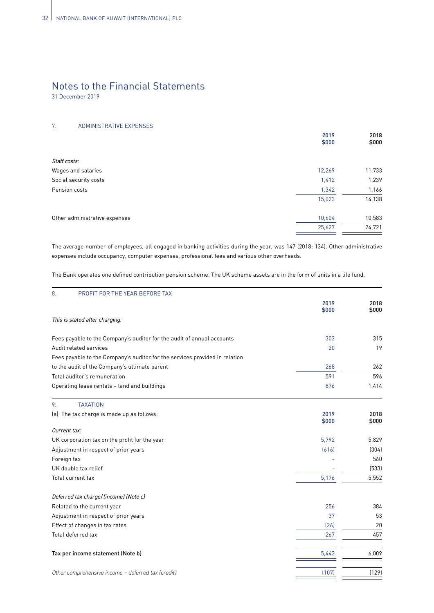31 December 2019

## 7. ADMINISTRATIVE EXPENSES

|                               | 2019<br>\$000 | 2018<br>\$000 |
|-------------------------------|---------------|---------------|
| Staff costs:                  |               |               |
| Wages and salaries            | 12,269        | 11,733        |
| Social security costs         | 1,412         | 1,239         |
| Pension costs                 | 1,342         | 1,166         |
|                               | 15,023        | 14,138        |
| Other administrative expenses | 10,604        | 10,583        |
|                               | 25,627        | 24,721        |
|                               |               |               |

The average number of employees, all engaged in banking activities during the year, was 147 (2018: 134). Other administrative expenses include occupancy, computer expenses, professional fees and various other overheads.

The Bank operates one defined contribution pension scheme. The UK scheme assets are in the form of units in a life fund.

| PROFIT FOR THE YEAR BEFORE TAX<br>8.                                        |               |               |
|-----------------------------------------------------------------------------|---------------|---------------|
|                                                                             | 2019<br>\$000 | 2018<br>\$000 |
| This is stated after charging:                                              |               |               |
| Fees payable to the Company's auditor for the audit of annual accounts      | 303           | 315           |
| Audit related services                                                      | 20            | 19            |
| Fees payable to the Company's auditor for the services provided in relation |               |               |
| to the audit of the Company's ultimate parent                               | 268           | 262           |
| Total auditor's remuneration                                                | 591           | 596           |
| Operating lease rentals - land and buildings                                | 876           | 1,414         |
| <b>TAXATION</b><br>9.                                                       |               |               |
| (a) The tax charge is made up as follows:                                   | 2019<br>\$000 | 2018<br>\$000 |
| Current tax:                                                                |               |               |
| UK corporation tax on the profit for the year                               | 5,792         | 5,829         |
| Adjustment in respect of prior years                                        | (616)         | (304)         |
| Foreign tax                                                                 |               | 560           |
| UK double tax relief                                                        |               | [533]         |
| Total current tax                                                           | 5,176         | 5,552         |
| Deferred tax charge/(income) (Note c)                                       |               |               |
| Related to the current year                                                 | 256           | 384           |
| Adjustment in respect of prior years                                        | 37            | 53            |
| Effect of changes in tax rates                                              | $[26]$        | 20            |
| Total deferred tax                                                          | 267           | 457           |
| Tax per income statement (Note b)                                           | 5,443         | 6,009         |
| Other comprehensive income - deferred tax (credit)                          | (107)         | (129)         |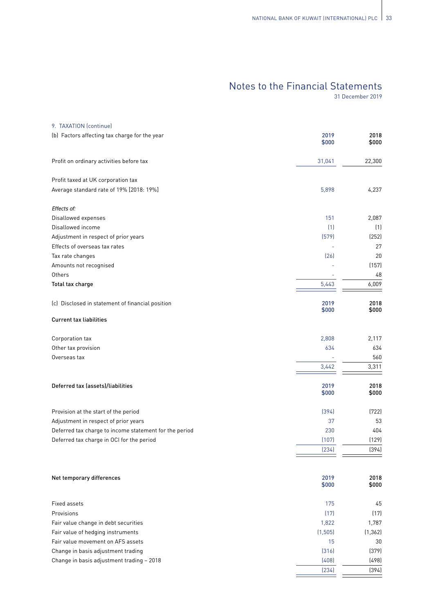31 December 2019

| 9. TAXATION (continue)                                 |               |               |
|--------------------------------------------------------|---------------|---------------|
| (b) Factors affecting tax charge for the year          | 2019          | 2018          |
|                                                        | \$000         | \$000         |
| Profit on ordinary activities before tax               | 31,041        | 22,300        |
| Profit taxed at UK corporation tax                     |               |               |
| Average standard rate of 19% [2018: 19%]               | 5,898         | 4,237         |
|                                                        |               |               |
| Effects of:                                            |               |               |
| Disallowed expenses                                    | 151           | 2,087         |
| Disallowed income                                      | (1)           | (1)           |
| Adjustment in respect of prior years                   | (579)         | (252)         |
| Effects of overseas tax rates                          |               | 27            |
| Tax rate changes                                       | [26]          | 20            |
| Amounts not recognised                                 |               | (157)         |
| Others                                                 |               | 48            |
| Total tax charge                                       | 5,443         | 6,009         |
| (c) Disclosed in statement of financial position       | 2019          | 2018          |
|                                                        | \$000         | \$000         |
| <b>Current tax liabilities</b>                         |               |               |
| Corporation tax                                        | 2,808         | 2,117         |
| Other tax provision                                    | 634           | 634           |
| Overseas tax                                           |               | 560           |
|                                                        | 3,442         | 3,311         |
|                                                        |               |               |
| Deferred tax (assets)/liabilities                      | 2019<br>\$000 | 2018<br>\$000 |
|                                                        |               |               |
| Provision at the start of the period                   | (394)         | (722)         |
| Adjustment in respect of prior years                   | 37            | 53            |
| Deferred tax charge to income statement for the period | 230           | 404           |
| Deferred tax charge in OCI for the period              | (107)         | (129)         |
|                                                        | (234)         | (394)         |
|                                                        |               |               |
| Net temporary differences                              | 2019          | 2018          |
|                                                        | \$000         | \$000         |
| <b>Fixed assets</b>                                    | 175           | 45            |
| Provisions                                             | (17)          | (17)          |
| Fair value change in debt securities                   | 1,822         | 1,787         |
| Fair value of hedging instruments                      | (1, 505)      | (1, 362)      |
| Fair value movement on AFS assets                      | 15            | 30            |
| Change in basis adjustment trading                     | (316)         | (379)         |
| Change in basis adjustment trading - 2018              | (408)         | (498)         |
|                                                        | (234)         | (394)         |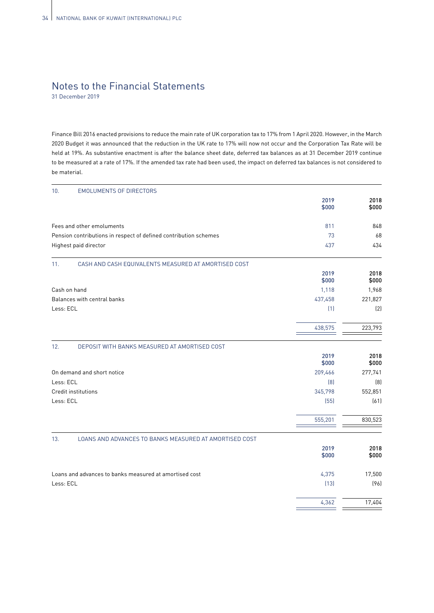31 December 2019

Finance Bill 2016 enacted provisions to reduce the main rate of UK corporation tax to 17% from 1 April 2020. However, in the March 2020 Budget it was announced that the reduction in the UK rate to 17% will now not occur and the Corporation Tax Rate will be held at 19%. As substantive enactment is after the balance sheet date, deferred tax balances as at 31 December 2019 continue to be measured at a rate of 17%. If the amended tax rate had been used, the impact on deferred tax balances is not considered to be material.

| 10.       | <b>EMOLUMENTS OF DIRECTORS</b>                                   |               |               |
|-----------|------------------------------------------------------------------|---------------|---------------|
|           |                                                                  | 2019<br>\$000 | 2018<br>\$000 |
|           | Fees and other emoluments                                        | 811           | 848           |
|           | Pension contributions in respect of defined contribution schemes | 73            | 68            |
|           | Highest paid director                                            | 437           | 434           |
| 11.       | CASH AND CASH EQUIVALENTS MEASURED AT AMORTISED COST             |               |               |
|           |                                                                  | 2019<br>\$000 | 2018<br>\$000 |
|           | Cash on hand                                                     | 1,118         | 1,968         |
|           | Balances with central banks                                      | 437,458       | 221,827       |
| Less: ECL |                                                                  | (1)           | (2)           |
|           |                                                                  | 438,575       | 223,793       |
| 12.       | DEPOSIT WITH BANKS MEASURED AT AMORTISED COST                    |               |               |
|           |                                                                  | 2019<br>\$000 | 2018<br>\$000 |
|           | On demand and short notice                                       | 209,466       | 277,741       |
| Less: ECL |                                                                  | [8]           | (8)           |
|           | Credit institutions                                              | 345,798       | 552,851       |
| Less: ECL |                                                                  | (55)          | (61)          |
|           |                                                                  | 555,201       | 830,523       |
| 13.       | LOANS AND ADVANCES TO BANKS MEASURED AT AMORTISED COST           |               |               |
|           |                                                                  | 2019          | 2018          |
|           |                                                                  | \$000         | \$000         |
|           | Loans and advances to banks measured at amortised cost           | 4,375         | 17,500        |
| Less: ECL |                                                                  | (13)          | (96)          |
|           |                                                                  | 4,362         | 17,404        |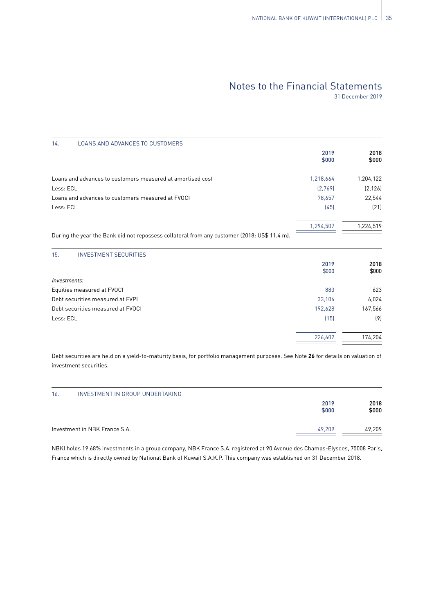31 December 2019

| 14.          | <b>LOANS AND ADVANCES TO CUSTOMERS</b>                                                       |               |               |
|--------------|----------------------------------------------------------------------------------------------|---------------|---------------|
|              |                                                                                              | 2019<br>\$000 | 2018<br>\$000 |
|              | Loans and advances to customers measured at amortised cost                                   | 1,218,664     | 1,204,122     |
| Less: ECL    |                                                                                              | [2,769]       | (2, 126)      |
|              | Loans and advances to customers measured at FVOCI                                            | 78,657        | 22,544        |
| Less: ECL    |                                                                                              | (45)          | (21)          |
|              |                                                                                              | 1,294,507     | 1,224,519     |
|              | During the year the Bank did not repossess collateral from any customer (2018: US\$ 11.4 m). |               |               |
| 15.          | <b>INVESTMENT SECURITIES</b>                                                                 |               |               |
|              |                                                                                              | 2019<br>\$000 | 2018<br>\$000 |
| Investments: |                                                                                              |               |               |
|              | Equities measured at FVOCI                                                                   | 883           | 623           |
|              | Debt securities measured at FVPL                                                             | 33,106        | 6,024         |
|              | Debt securities measured at FVOCI                                                            | 192,628       | 167,566       |
| Less: ECL    |                                                                                              | (15)          | (9)           |
|              |                                                                                              | 226,602       | 174,204       |
|              |                                                                                              |               |               |

Debt securities are held on a yield-to-maturity basis, for portfolio management purposes. See Note **26** for details on valuation of investment securities.

| 16. | INVESTMENT IN GROUP UNDERTAKING |               |               |
|-----|---------------------------------|---------------|---------------|
|     |                                 | 2019<br>\$000 | 2018<br>\$000 |
|     | Investment in NBK France S.A.   | 49,209        | 49,209        |

NBKI holds 19.68% investments in a group company, NBK France S.A. registered at 90 Avenue des Champs-Elysees, 75008 Paris, France which is directly owned by National Bank of Kuwait S.A.K.P. This company was established on 31 December 2018.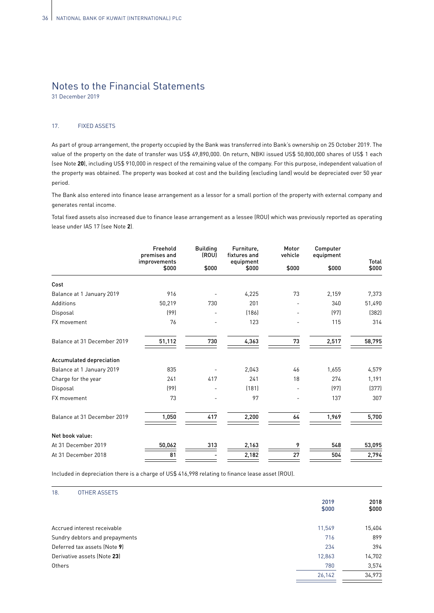31 December 2019

## 17. FIXED ASSETS

As part of group arrangement, the property occupied by the Bank was transferred into Bank's ownership on 25 October 2019. The value of the property on the date of transfer was US\$ 49,890,000. On return, NBKI issued US\$ 50,800,000 shares of US\$ 1 each (see Note **20**), including US\$ 910,000 in respect of the remaining value of the company. For this purpose, independent valuation of the property was obtained. The property was booked at cost and the building (excluding land) would be depreciated over 50 year period.

The Bank also entered into finance lease arrangement as a lessor for a small portion of the property with external company and generates rental income.

Total fixed assets also increased due to finance lease arrangement as a lessee (ROU) which was previously reported as operating lease under IAS 17 (see Note **2**).

|                             | Freehold<br>premises and | <b>Building</b><br>(ROU) | Furniture,<br>fixtures and | Motor<br>vehicle | Computer<br>equipment |                |
|-----------------------------|--------------------------|--------------------------|----------------------------|------------------|-----------------------|----------------|
|                             | improvements<br>\$000    | \$000                    | equipment<br>\$000         | \$000            | \$000                 | Total<br>\$000 |
| Cost                        |                          |                          |                            |                  |                       |                |
| Balance at 1 January 2019   | 916                      |                          | 4,225                      | 73               | 2,159                 | 7,373          |
| Additions                   | 50,219                   | 730                      | 201                        |                  | 340                   | 51,490         |
| Disposal                    | (99)                     |                          | [186]                      |                  | (97)                  | [382]          |
| FX movement                 | 76                       |                          | 123                        |                  | 115                   | 314            |
| Balance at 31 December 2019 | 51,112                   | 730                      | 4,363                      | 73               | 2,517                 | 58,795         |
| Accumulated depreciation    |                          |                          |                            |                  |                       |                |
| Balance at 1 January 2019   | 835                      |                          | 2,043                      | 46               | 1,655                 | 4,579          |
| Charge for the year         | 241                      | 417                      | 241                        | 18               | 274                   | 1,191          |
| Disposal                    | (99)                     |                          | (181)                      |                  | (97)                  | (377)          |
| FX movement                 | 73                       |                          | 97                         |                  | 137                   | 307            |
| Balance at 31 December 2019 | 1,050                    | 417                      | 2,200                      | 64               | 1,969                 | 5,700          |
| Net book value:             |                          |                          |                            |                  |                       |                |
| At 31 December 2019         | 50,062                   | 313                      | 2,163                      | 9                | 548                   | 53,095         |
| At 31 December 2018         | 81                       |                          | 2,182                      | 27               | 504                   | 2,794          |

Included in depreciation there is a charge of US\$ 416,998 relating to finance lease asset (ROU).

18. OTHER ASSETS

| 10.<br><b>UTHEN AJJETJ</b>     |               |               |
|--------------------------------|---------------|---------------|
|                                | 2019<br>\$000 | 2018<br>\$000 |
| Accrued interest receivable    | 11,549        | 15,404        |
| Sundry debtors and prepayments | 716           | 899           |
| Deferred tax assets (Note 9)   | 234           | 394           |
| Derivative assets (Note 23)    | 12,863        | 14,702        |
| Others                         | 780           | 3,574         |
|                                | 26,142        | 34,973        |
|                                |               |               |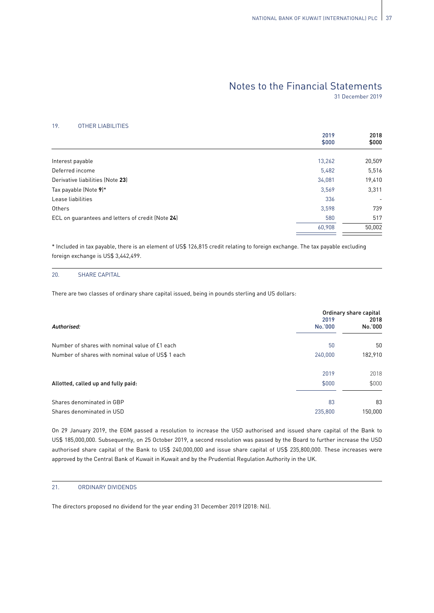31 December 2019

## 19. OTHER LIABILITIES

|                                                   | 2019<br>\$000 | 2018<br>\$000 |
|---------------------------------------------------|---------------|---------------|
|                                                   |               |               |
| Interest payable                                  | 13,262        | 20,509        |
| Deferred income                                   | 5,482         | 5,516         |
| Derivative liabilities (Note 23)                  | 34,081        | 19,410        |
| Tax payable (Note 9)*                             | 3,569         | 3,311         |
| Lease liabilities                                 | 336           |               |
| Others                                            | 3,598         | 739           |
| ECL on quarantees and letters of credit (Note 24) | 580           | 517           |
|                                                   | 60,908        | 50,002        |
|                                                   |               |               |

\* Included in tax payable, there is an element of US\$ 126,815 credit relating to foreign exchange. The tax payable excluding foreign exchange is US\$ 3,442,499.

## 20. SHARE CAPITAL

There are two classes of ordinary share capital issued, being in pounds sterling and US dollars:

|                                                    | Ordinary share capital |                 |  |
|----------------------------------------------------|------------------------|-----------------|--|
| Authorised:                                        | 2019<br>No.'000        | 2018<br>No.'000 |  |
|                                                    |                        |                 |  |
| Number of shares with nominal value of £1 each     | 50                     | 50              |  |
| Number of shares with nominal value of US\$ 1 each | 240,000                | 182,910         |  |
|                                                    | 2019                   | 2018            |  |
| Allotted, called up and fully paid:                | \$000                  | \$000           |  |
| Shares denominated in GBP                          | 83                     | 83              |  |
| Shares denominated in USD                          | 235,800                | 150.000         |  |

On 29 January 2019, the EGM passed a resolution to increase the USD authorised and issued share capital of the Bank to US\$ 185,000,000. Subsequently, on 25 October 2019, a second resolution was passed by the Board to further increase the USD authorised share capital of the Bank to US\$ 240,000,000 and issue share capital of US\$ 235,800,000. These increases were approved by the Central Bank of Kuwait in Kuwait and by the Prudential Regulation Authority in the UK.

## 21. ORDINARY DIVIDENDS

The directors proposed no dividend for the year ending 31 December 2019 (2018: Nil).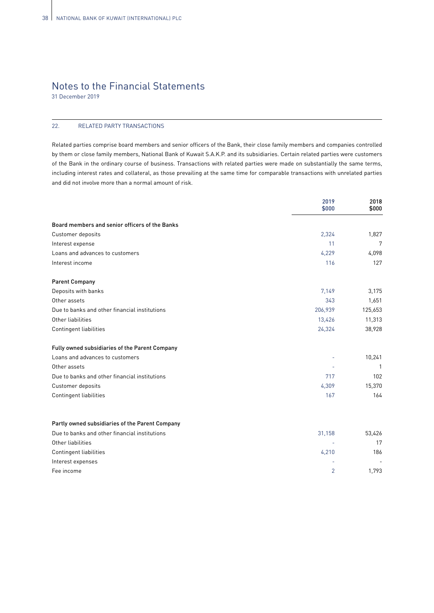31 December 2019

## 22. RELATED PARTY TRANSACTIONS

Related parties comprise board members and senior officers of the Bank, their close family members and companies controlled by them or close family members, National Bank of Kuwait S.A.K.P. and its subsidiaries. Certain related parties were customers of the Bank in the ordinary course of business. Transactions with related parties were made on substantially the same terms, including interest rates and collateral, as those prevailing at the same time for comparable transactions with unrelated parties and did not involve more than a normal amount of risk.

|                                                 | 2019<br>\$000  | 2018<br>\$000 |
|-------------------------------------------------|----------------|---------------|
| Board members and senior officers of the Banks  |                |               |
| Customer deposits                               | 2,324          | 1,827         |
| Interest expense                                | 11             | 7             |
| Loans and advances to customers                 | 4,229          | 4,098         |
| Interest income                                 | 116            | 127           |
| <b>Parent Company</b>                           |                |               |
| Deposits with banks                             | 7,149          | 3,175         |
| Other assets                                    | 343            | 1,651         |
| Due to banks and other financial institutions   | 206,939        | 125,653       |
| Other liabilities                               | 13,426         | 11,313        |
| Contingent liabilities                          | 24,324         | 38,928        |
| Fully owned subsidiaries of the Parent Company  |                |               |
| Loans and advances to customers                 |                | 10,241        |
| Other assets                                    |                | $\mathbf{1}$  |
| Due to banks and other financial institutions   | 717            | 102           |
| Customer deposits                               | 4,309          | 15,370        |
| Contingent liabilities                          | 167            | 164           |
| Partly owned subsidiaries of the Parent Company |                |               |
| Due to banks and other financial institutions   | 31,158         | 53,426        |
| Other liabilities                               |                | 17            |
| Contingent liabilities                          | 4,210          | 186           |
| Interest expenses                               |                |               |
| Fee income                                      | $\overline{2}$ | 1.793         |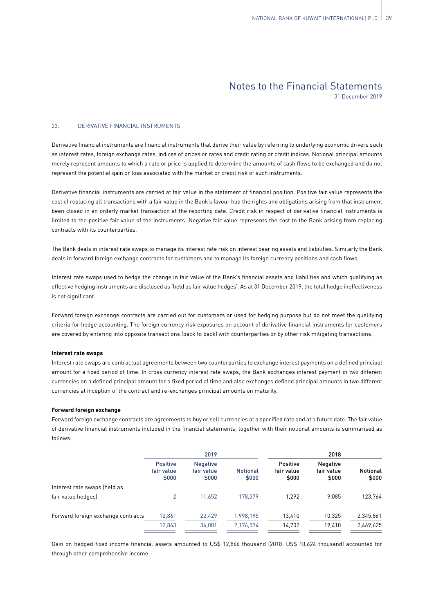31 December 2019

### 23. DERIVATIVE FINANCIAL INSTRUMENTS

Derivative financial instruments are financial instruments that derive their value by referring to underlying economic drivers such as interest rates, foreign exchange rates, indices of prices or rates and credit rating or credit indices. Notional principal amounts merely represent amounts to which a rate or price is applied to determine the amounts of cash flows to be exchanged and do not represent the potential gain or loss associated with the market or credit risk of such instruments.

Derivative financial instruments are carried at fair value in the statement of financial position. Positive fair value represents the cost of replacing all transactions with a fair value in the Bank's favour had the rights and obligations arising from that instrument been closed in an orderly market transaction at the reporting date. Credit risk in respect of derivative financial instruments is limited to the positive fair value of the instruments. Negative fair value represents the cost to the Bank arising from replacing contracts with its counterparties.

The Bank deals in interest rate swaps to manage its interest rate risk on interest bearing assets and liabilities. Similarly the Bank deals in forward foreign exchange contracts for customers and to manage its foreign currency positions and cash flows.

Interest rate swaps used to hedge the change in fair value of the Bank's financial assets and liabilities and which qualifying as effective hedging instruments are disclosed as 'held as fair value hedges'. As at 31 December 2019, the total hedge ineffectiveness is not significant.

Forward foreign exchange contracts are carried out for customers or used for hedging purpose but do not meet the qualifying criteria for hedge accounting. The foreign currency risk exposures on account of derivative financial instruments for customers are covered by entering into opposite transactions (back to back) with counterparties or by other risk mitigating transactions.

#### **Interest rate swaps**

Interest rate swaps are contractual agreements between two counterparties to exchange interest payments on a defined principal amount for a fixed period of time. In cross currency interest rate swaps, the Bank exchanges interest payment in two different currencies on a defined principal amount for a fixed period of time and also exchanges defined principal amounts in two different currencies at inception of the contract and re-exchanges principal amounts on maturity.

#### **Forward foreign exchange**

Forward foreign exchange contracts are agreements to buy or sell currencies at a specified rate and at a future date. The fair value of derivative financial instruments included in the financial statements, together with their notional amounts is summarised as follows:

|                                    | 2019                                   |                                        | 2018                     |                                        |                                        |                   |
|------------------------------------|----------------------------------------|----------------------------------------|--------------------------|----------------------------------------|----------------------------------------|-------------------|
|                                    | <b>Positive</b><br>fair value<br>\$000 | <b>Negative</b><br>fair value<br>\$000 | <b>Notional</b><br>\$000 | <b>Positive</b><br>fair value<br>\$000 | <b>Negative</b><br>fair value<br>\$000 | Notional<br>\$000 |
| Interest rate swaps (held as       |                                        |                                        |                          |                                        |                                        |                   |
| fair value hedges)                 | 2                                      | 11.652                                 | 178.379                  | 1.292                                  | 9.085                                  | 123,764           |
| Forward foreign exchange contracts | 12,861                                 | 22,429                                 | 1,998,195                | 13.410                                 | 10,325                                 | 2,345,861         |
|                                    | 12,863                                 | 34,081                                 | 2,176,574                | 14,702                                 | 19.410                                 | 2,469,625         |

Gain on hedged fixed income financial assets amounted to US\$ 12,866 thousand (2018: US\$ 10,624 thousand) accounted for through other comprehensive income.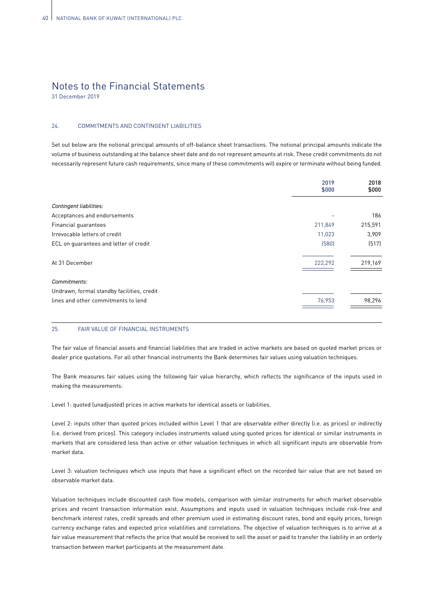31 December 2019

## 24. COMMITMENTS AND CONTINGENT LIABILITIES

Set out below are the notional principal amounts of off-balance sheet transactions. The notional principal amounts indicate the volume of business outstanding at the balance sheet date and do not represent amounts at risk. These credit commitments do not necessarily represent future cash requirements, since many of these commitments will expire or terminate without being funded.

|                                            | 2019<br>\$000 | 2018<br>\$000 |
|--------------------------------------------|---------------|---------------|
| Contingent liabilities:                    |               |               |
| Acceptances and endorsements               |               | 186           |
| Financial guarantees                       | 211,849       | 215,591       |
| Irrevocable letters of credit              | 11,023        | 3,909         |
| ECL on guarantees and letter of credit     | (580)         | (517)         |
| At 31 December                             | 222,292       | 219,169       |
| Commitments:                               |               |               |
| Undrawn, formal standby facilities, credit |               |               |
| lines and other commitments to lend        | 76,953        | 98,296        |
|                                            |               |               |

#### 25. FAIR VALUE OF FINANCIAL INSTRUMENTS

The fair value of financial assets and financial liabilities that are traded in active markets are based on quoted market prices or dealer price quotations. For all other financial instruments the Bank determines fair values using valuation techniques.

The Bank measures fair values using the following fair value hierarchy, which reflects the significance of the inputs used in making the measurements:

Level 1: quoted (unadjusted) prices in active markets for identical assets or liabilities.

Level 2: inputs other than quoted prices included within Level 1 that are observable either directly (i.e. as prices) or indirectly (i.e. derived from prices). This category includes instruments valued using quoted prices for identical or similar instruments in markets that are considered less than active or other valuation techniques in which all significant inputs are observable from market data.

Level 3: valuation techniques which use inputs that have a significant effect on the recorded fair value that are not based on observable market data.

Valuation techniques include discounted cash flow models, comparison with similar instruments for which market observable prices and recent transaction information exist. Assumptions and inputs used in valuation techniques include risk-free and benchmark interest rates, credit spreads and other premium used in estimating discount rates, bond and equity prices, foreign currency exchange rates and expected price volatilities and correlations. The objective of valuation techniques is to arrive at a fair value measurement that reflects the price that would be received to sell the asset or paid to transfer the liability in an orderly transaction between market participants at the measurement date.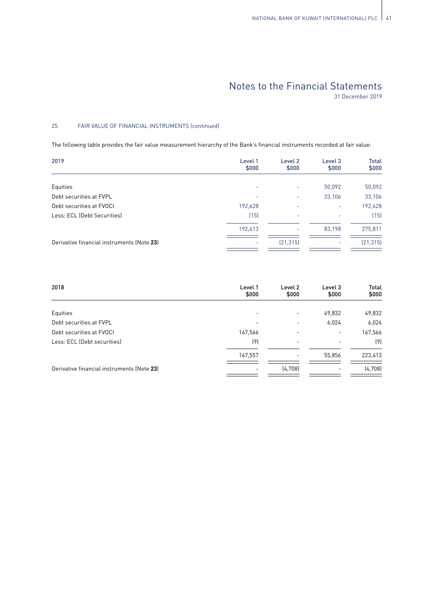31 December 2019

## 25. FAIR VALUE OF FINANCIAL INSTRUMENTS (continued)

The following table provides the fair value measurement hierarchy of the Bank's financial instruments recorded at fair value:

| 2019                                       | Level 1<br>\$000         | Level <sub>2</sub><br>\$000 | Level 3<br>\$000 | <b>Total</b><br>\$000 |
|--------------------------------------------|--------------------------|-----------------------------|------------------|-----------------------|
| Equities                                   | $\overline{\phantom{a}}$ | ۰                           | 50,092           | 50,092                |
| Debt securities at FVPL                    | ۰                        | ۰                           | 33,106           | 33,106                |
| Debt securities at FVOCI                   | 192,628                  | ۰                           | ۰                | 192,628               |
| Less: ECL (Debt Securities)                | (15)                     | ۰                           | ۰                | (15)                  |
|                                            | 192,613                  | ٠                           | 83,198           | 275,811               |
| Derivative financial instruments (Note 23) | ٠                        | (21, 315)                   | ۰                | (21, 315)             |

| 2018                                       | Level 1<br>\$000         | Level 2<br>\$000         | Level 3<br>\$000         | Total<br>\$000 |
|--------------------------------------------|--------------------------|--------------------------|--------------------------|----------------|
| Equities                                   | $\overline{\phantom{a}}$ | -                        | 49,832                   | 49,832         |
| Debt securities at FVPL                    | $\overline{\phantom{0}}$ | -                        | 6,024                    | 6,024          |
| Debt securities at FVOCI                   | 167,566                  | $\overline{\phantom{a}}$ | ۰.                       | 167,566        |
| Less: ECL (Debt securities)                | (9)                      | $\overline{\phantom{a}}$ |                          | (9)            |
|                                            | 167,557                  | $\overline{a}$           | 55,856                   | 223,413        |
| Derivative financial instruments (Note 23) | $\overline{\phantom{a}}$ | (4,708)                  | $\overline{\phantom{0}}$ | (4,708)        |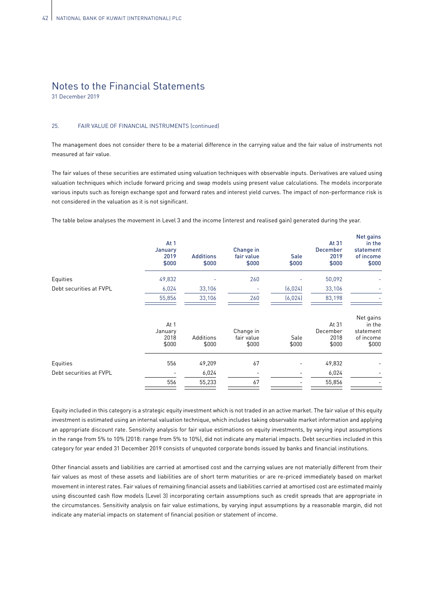31 December 2019

## 25. FAIR VALUE OF FINANCIAL INSTRUMENTS (continued)

The management does not consider there to be a material difference in the carrying value and the fair value of instruments not measured at fair value.

The fair values of these securities are estimated using valuation techniques with observable inputs. Derivatives are valued using valuation techniques which include forward pricing and swap models using present value calculations. The models incorporate various inputs such as foreign exchange spot and forward rates and interest yield curves. The impact of non-performance risk is not considered in the valuation as it is not significant.

The table below analyses the movement in Level 3 and the income (interest and realised gain) generated during the year.

| At 1<br>January<br>2019<br>\$000 | <b>Additions</b><br>\$000 | Change in<br>fair value<br>\$000 | <b>Sale</b><br>\$000 | At 31<br><b>December</b><br>2019<br>\$000 | <b>Net gains</b><br>in the<br>statement<br>of income<br>\$000 |
|----------------------------------|---------------------------|----------------------------------|----------------------|-------------------------------------------|---------------------------------------------------------------|
| 49,832                           |                           | 260                              |                      | 50,092                                    |                                                               |
| 6,024                            | 33,106                    | $\overline{\phantom{0}}$         | (6,024)              | 33,106                                    |                                                               |
| 55,856                           | 33,106                    | 260                              | (6,024)              | 83,198                                    |                                                               |
| At 1<br>January<br>2018<br>\$000 | Additions<br>\$000        | Change in<br>fair value<br>\$000 | Sale<br>\$000        | At 31<br>December<br>2018<br>\$000        | Net gains<br>in the<br>statement<br>of income<br>\$000        |
| 556                              | 49,209                    | 67                               |                      | 49,832                                    |                                                               |
|                                  | 6,024                     |                                  |                      | 6,024                                     |                                                               |
| 556                              | 55,233                    | 67                               |                      | 55,856                                    |                                                               |
|                                  |                           |                                  |                      |                                           |                                                               |

Equity included in this category is a strategic equity investment which is not traded in an active market. The fair value of this equity investment is estimated using an internal valuation technique, which includes taking observable market information and applying an appropriate discount rate. Sensitivity analysis for fair value estimations on equity investments, by varying input assumptions in the range from 5% to 10% (2018: range from 5% to 10%), did not indicate any material impacts. Debt securities included in this category for year ended 31 December 2019 consists of unquoted corporate bonds issued by banks and financial institutions.

Other financial assets and liabilities are carried at amortised cost and the carrying values are not materially different from their fair values as most of these assets and liabilities are of short term maturities or are re-priced immediately based on market movement in interest rates. Fair values of remaining financial assets and liabilities carried at amortised cost are estimated mainly using discounted cash flow models (Level 3) incorporating certain assumptions such as credit spreads that are appropriate in the circumstances. Sensitivity analysis on fair value estimations, by varying input assumptions by a reasonable margin, did not indicate any material impacts on statement of financial position or statement of income.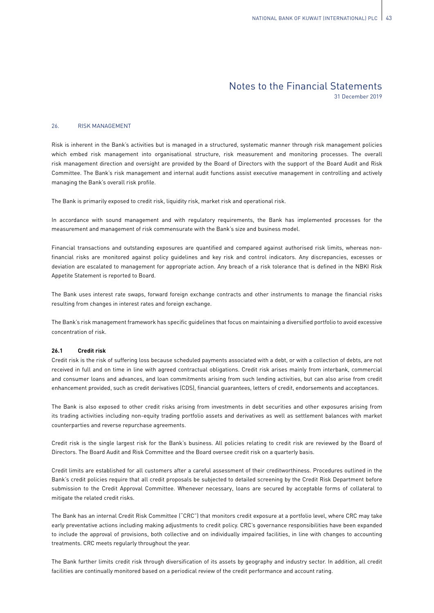31 December 2019

### 26. RISK MANAGEMENT

Risk is inherent in the Bank's activities but is managed in a structured, systematic manner through risk management policies which embed risk management into organisational structure, risk measurement and monitoring processes. The overall risk management direction and oversight are provided by the Board of Directors with the support of the Board Audit and Risk Committee. The Bank's risk management and internal audit functions assist executive management in controlling and actively managing the Bank's overall risk profile.

The Bank is primarily exposed to credit risk, liquidity risk, market risk and operational risk.

In accordance with sound management and with regulatory requirements, the Bank has implemented processes for the measurement and management of risk commensurate with the Bank's size and business model.

Financial transactions and outstanding exposures are quantified and compared against authorised risk limits, whereas nonfinancial risks are monitored against policy guidelines and key risk and control indicators. Any discrepancies, excesses or deviation are escalated to management for appropriate action. Any breach of a risk tolerance that is defined in the NBKI Risk Appetite Statement is reported to Board.

The Bank uses interest rate swaps, forward foreign exchange contracts and other instruments to manage the financial risks resulting from changes in interest rates and foreign exchange.

The Bank's risk management framework has specific guidelines that focus on maintaining a diversified portfolio to avoid excessive concentration of risk.

### **26.1 Credit risk**

Credit risk is the risk of suffering loss because scheduled payments associated with a debt, or with a collection of debts, are not received in full and on time in line with agreed contractual obligations. Credit risk arises mainly from interbank, commercial and consumer loans and advances, and loan commitments arising from such lending activities, but can also arise from credit enhancement provided, such as credit derivatives (CDS), financial guarantees, letters of credit, endorsements and acceptances.

The Bank is also exposed to other credit risks arising from investments in debt securities and other exposures arising from its trading activities including non-equity trading portfolio assets and derivatives as well as settlement balances with market counterparties and reverse repurchase agreements.

Credit risk is the single largest risk for the Bank's business. All policies relating to credit risk are reviewed by the Board of Directors. The Board Audit and Risk Committee and the Board oversee credit risk on a quarterly basis.

Credit limits are established for all customers after a careful assessment of their creditworthiness. Procedures outlined in the Bank's credit policies require that all credit proposals be subjected to detailed screening by the Credit Risk Department before submission to the Credit Approval Committee. Whenever necessary, loans are secured by acceptable forms of collateral to mitigate the related credit risks.

The Bank has an internal Credit Risk Committee ("CRC") that monitors credit exposure at a portfolio level, where CRC may take early preventative actions including making adjustments to credit policy. CRC's governance responsibilities have been expanded to include the approval of provisions, both collective and on individually impaired facilities, in line with changes to accounting treatments. CRC meets regularly throughout the year.

The Bank further limits credit risk through diversification of its assets by geography and industry sector. In addition, all credit facilities are continually monitored based on a periodical review of the credit performance and account rating.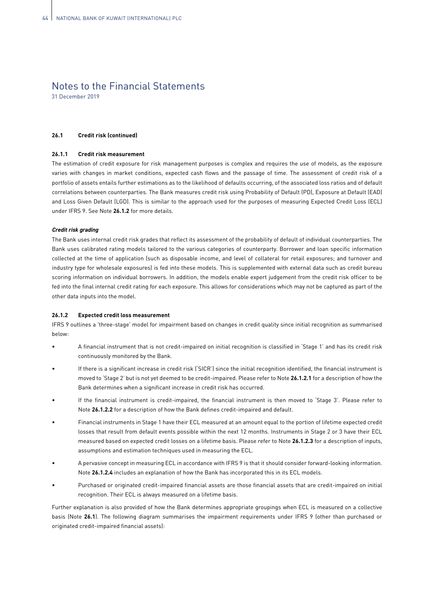31 December 2019

## **26.1 Credit risk (continued)**

## **26.1.1 Credit risk measurement**

The estimation of credit exposure for risk management purposes is complex and requires the use of models, as the exposure varies with changes in market conditions, expected cash flows and the passage of time. The assessment of credit risk of a portfolio of assets entails further estimations as to the likelihood of defaults occurring, of the associated loss ratios and of default correlations between counterparties. The Bank measures credit risk using Probability of Default (PD), Exposure at Default (EAD) and Loss Given Default (LGD). This is similar to the approach used for the purposes of measuring Expected Credit Loss (ECL) under IFRS 9. See Note **26.1.2** for more details.

#### *Credit risk grading*

The Bank uses internal credit risk grades that reflect its assessment of the probability of default of individual counterparties. The Bank uses calibrated rating models tailored to the various categories of counterparty. Borrower and loan specific information collected at the time of application (such as disposable income, and level of collateral for retail exposures; and turnover and industry type for wholesale exposures) is fed into these models. This is supplemented with external data such as credit bureau scoring information on individual borrowers. In addition, the models enable expert judgement from the credit risk officer to be fed into the final internal credit rating for each exposure. This allows for considerations which may not be captured as part of the other data inputs into the model.

### **26.1.2 Expected credit loss measurement**

IFRS 9 outlines a 'three-stage' model for impairment based on changes in credit quality since initial recognition as summarised below:

- A financial instrument that is not credit-impaired on initial recognition is classified in 'Stage 1' and has its credit risk continuously monitored by the Bank.
- If there is a significant increase in credit risk ('SICR') since the initial recognition identified, the financial instrument is moved to 'Stage 2' but is not yet deemed to be credit-impaired. Please refer to Note **26.1.2.1** for a description of how the Bank determines when a significant increase in credit risk has occurred.
- If the financial instrument is credit-impaired, the financial instrument is then moved to 'Stage 3'. Please refer to Note **26.1.2.2** for a description of how the Bank defines credit-impaired and default.
- Financial instruments in Stage 1 have their ECL measured at an amount equal to the portion of lifetime expected credit losses that result from default events possible within the next 12 months. Instruments in Stage 2 or 3 have their ECL measured based on expected credit losses on a lifetime basis. Please refer to Note **26.1.2.3** for a description of inputs, assumptions and estimation techniques used in measuring the ECL.
- A pervasive concept in measuring ECL in accordance with IFRS 9 is that it should consider forward-looking information. Note **26.1.2.4** includes an explanation of how the Bank has incorporated this in its ECL models.
- Purchased or originated credit-impaired financial assets are those financial assets that are credit-impaired on initial recognition. Their ECL is always measured on a lifetime basis.

Further explanation is also provided of how the Bank determines appropriate groupings when ECL is measured on a collective basis (Note **26.1**). The following diagram summarises the impairment requirements under IFRS 9 (other than purchased or originated credit-impaired financial assets):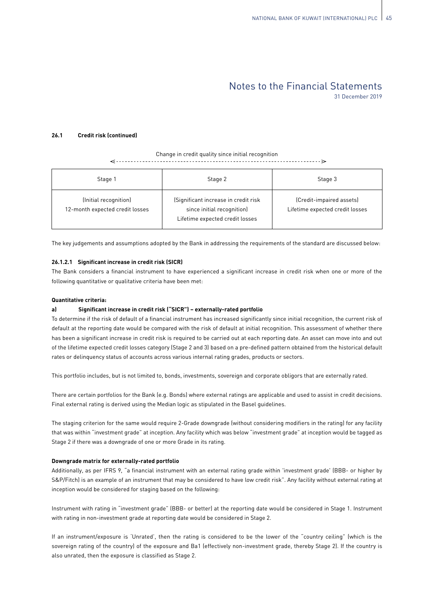31 December 2019

## **26.1 Credit risk (continued)**

#### Change in credit quality since initial recognition

| Stage 1                                                  | Stage 2                                                                                               | Stage 3                                                     |
|----------------------------------------------------------|-------------------------------------------------------------------------------------------------------|-------------------------------------------------------------|
| (Initial recognition)<br>12-month expected credit losses | (Significant increase in credit risk<br>since initial recognition)<br>Lifetime expected credit losses | (Credit-impaired assets)<br>Lifetime expected credit losses |

The key judgements and assumptions adopted by the Bank in addressing the requirements of the standard are discussed below:

### **26.1.2.1 Significant increase in credit risk (SICR)**

The Bank considers a financial instrument to have experienced a significant increase in credit risk when one or more of the following quantitative or qualitative criteria have been met:

### **Quantitative criteria:**

### **a) Significant increase in credit risk ("SICR") – externally-rated portfolio**

To determine if the risk of default of a financial instrument has increased significantly since initial recognition, the current risk of default at the reporting date would be compared with the risk of default at initial recognition. This assessment of whether there has been a significant increase in credit risk is required to be carried out at each reporting date. An asset can move into and out of the lifetime expected credit losses category (Stage 2 and 3) based on a pre-defined pattern obtained from the historical default rates or delinquency status of accounts across various internal rating grades, products or sectors.

This portfolio includes, but is not limited to, bonds, investments, sovereign and corporate obligors that are externally rated.

There are certain portfolios for the Bank (e.g. Bonds) where external ratings are applicable and used to assist in credit decisions. Final external rating is derived using the Median logic as stipulated in the Basel guidelines.

The staging criterion for the same would require 2-Grade downgrade (without considering modifiers in the rating) for any facility that was within "investment grade" at inception. Any facility which was below "investment grade" at inception would be tagged as Stage 2 if there was a downgrade of one or more Grade in its rating.

#### **Downgrade matrix for externally-rated portfolio**

Additionally, as per IFRS 9, "a financial instrument with an external rating grade within 'investment grade' (BBB- or higher by S&P/Fitch) is an example of an instrument that may be considered to have low credit risk". Any facility without external rating at inception would be considered for staging based on the following:

Instrument with rating in "investment grade" (BBB- or better) at the reporting date would be considered in Stage 1. Instrument with rating in non-investment grade at reporting date would be considered in Stage 2.

If an instrument/exposure is 'Unrated', then the rating is considered to be the lower of the "country ceiling" (which is the sovereign rating of the country) of the exposure and Ba1 (effectively non-investment grade, thereby Stage 2). If the country is also unrated, then the exposure is classified as Stage 2.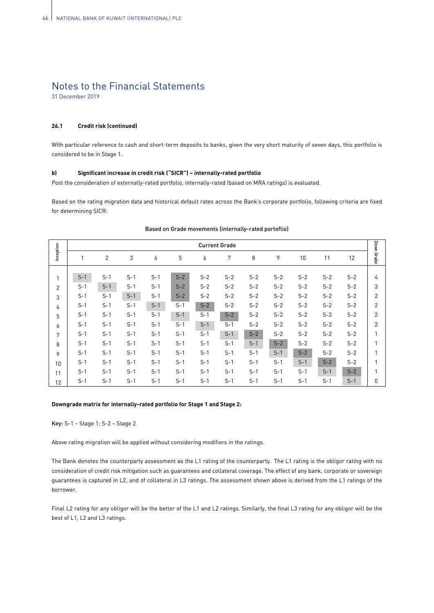31 December 2019

## **26.1 Credit risk (continued)**

With particular reference to cash and short-term deposits to banks, given the very short maturity of seven days, this portfolio is considered to be in Stage 1.

#### **b) Significant increase in credit risk ("SICR") – internally-rated portfolio**

Post the consideration of externally-rated portfolio, internally-rated (based on MRA ratings) is evaluated.

Based on the rating migration data and historical default rates across the Bank's corporate portfolio, following criteria are fixed for determining SICR:

|                     | <b>Current Grade</b> |                |       |       |       |       |       |       |       |       |       | Down  |                |
|---------------------|----------------------|----------------|-------|-------|-------|-------|-------|-------|-------|-------|-------|-------|----------------|
| Inception           |                      | $\overline{2}$ | 3     | 4     | 5     | 6     | 7     | 8     | 9     | 10    | 11    | 12    | Grade          |
|                     | $S-1$                | $S-1$          | $S-1$ | $S-1$ | $S-2$ | $S-2$ | $S-2$ | $S-2$ | $S-2$ | $S-2$ | $S-2$ | $S-2$ | 4              |
| 1<br>$\overline{2}$ | $S-1$                | $S-1$          | $S-1$ | $S-1$ | $S-2$ | $S-2$ | $S-2$ | $S-2$ | $S-2$ | $S-2$ | $S-2$ | $S-2$ | 3              |
| 3                   | $S-1$                | $S-1$          | $S-1$ | $S-1$ | $S-2$ | $S-2$ | $S-2$ | $S-2$ | $S-2$ | $S-2$ | $S-2$ | $S-2$ | 2              |
| 4                   | $S-1$                | $S-1$          | $S-1$ | $S-1$ | $S-1$ | $S-2$ | $S-2$ | $S-2$ | $S-2$ | $S-2$ | $S-2$ | $S-2$ | $\overline{2}$ |
| 5                   | $S-1$                | $S-1$          | $S-1$ | $S-1$ | $S-1$ | $S-1$ | $S-2$ | $S-2$ | $S-2$ | $S-2$ | $S-2$ | $S-2$ | $\overline{2}$ |
| 6                   | $S-1$                | $S-1$          | $S-1$ | $S-1$ | $S-1$ | $S-1$ | $S-1$ | $S-2$ | $S-2$ | $S-2$ | $S-2$ | $S-2$ | 2              |
| 7                   | $S-1$                | $S-1$          | $S-1$ | $S-1$ | $S-1$ | $S-1$ | $S-1$ | $S-2$ | $S-2$ | $S-2$ | $S-2$ | $S-2$ |                |
| 8                   | $S-1$                | $S-1$          | $S-1$ | $S-1$ | $S-1$ | $S-1$ | $S-1$ | $S-1$ | $S-2$ | $S-2$ | $S-2$ | $S-2$ | $\overline{ }$ |
| 9                   | $S-1$                | $S-1$          | $S-1$ | $S-1$ | $S-1$ | $S-1$ | $S-1$ | $S-1$ | $S-1$ | $S-2$ | $S-2$ | $S-2$ |                |
| 10                  | $S-1$                | $S-1$          | $S-1$ | $S-1$ | $S-1$ | $S-1$ | $S-1$ | $S-1$ | $S-1$ | $S-1$ | $S-2$ | $S-2$ | $\overline{ }$ |
| 11                  | $S-1$                | $S-1$          | $S-1$ | $S-1$ | $S-1$ | $S-1$ | $S-1$ | $S-1$ | $S-1$ | $S-1$ | $S-1$ | $S-2$ |                |
| 12                  | $S-1$                | $S-1$          | $S-1$ | $S-1$ | $S-1$ | $S-1$ | $S-1$ | $S-1$ | $S-1$ | $S-1$ | $S-1$ | $S-1$ | 0              |

### Based on Grade movements (internally-rated portoflio)

## **Downgrade matrix for internally-rated portfolio for Stage 1 and Stage 2:**

Key: S-1 – Stage 1; S-2 – Stage 2

Above rating migration will be applied without considering modifiers in the ratings.

The Bank denotes the counterparty assessment as the L1 rating of the counterparty. The L1 rating is the obligor rating with no consideration of credit risk mitigation such as guarantees and collateral coverage. The effect of any bank, corporate or sovereign guarantees is captured in L2, and of collateral in L3 ratings. The assessment shown above is derived from the L1 ratings of the borrower.

Final L2 rating for any obligor will be the better of the L1 and L2 ratings. Similarly, the final L3 rating for any obligor will be the best of L1, L2 and L3 ratings.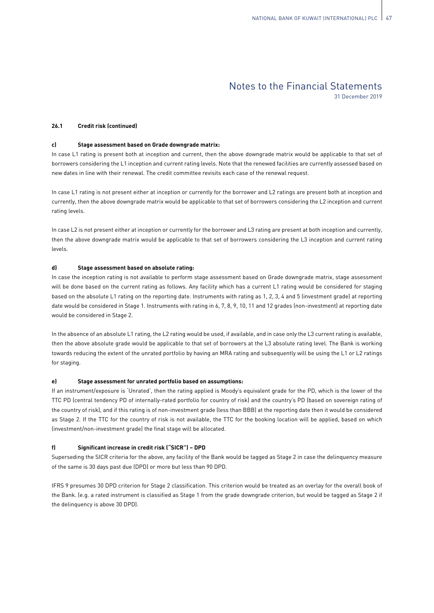31 December 2019

## **26.1 Credit risk (continued)**

#### **c) Stage assessment based on Grade downgrade matrix:**

In case L1 rating is present both at inception and current, then the above downgrade matrix would be applicable to that set of borrowers considering the L1 inception and current rating levels. Note that the renewed facilities are currently assessed based on new dates in line with their renewal. The credit committee revisits each case of the renewal request.

In case L1 rating is not present either at inception or currently for the borrower and L2 ratings are present both at inception and currently, then the above downgrade matrix would be applicable to that set of borrowers considering the L2 inception and current rating levels.

In case L2 is not present either at inception or currently for the borrower and L3 rating are present at both inception and currently, then the above downgrade matrix would be applicable to that set of borrowers considering the L3 inception and current rating levels.

## **d) Stage assessment based on absolute rating:**

In case the inception rating is not available to perform stage assessment based on Grade downgrade matrix, stage assessment will be done based on the current rating as follows. Any facility which has a current L1 rating would be considered for staging based on the absolute L1 rating on the reporting date. Instruments with rating as 1, 2, 3, 4 and 5 (investment grade) at reporting date would be considered in Stage 1. Instruments with rating in 6, 7, 8, 9, 10, 11 and 12 grades (non-investment) at reporting date would be considered in Stage 2.

In the absence of an absolute L1 rating, the L2 rating would be used, if available, and in case only the L3 current rating is available, then the above absolute grade would be applicable to that set of borrowers at the L3 absolute rating level. The Bank is working towards reducing the extent of the unrated portfolio by having an MRA rating and subsequently will be using the L1 or L2 ratings for staging.

#### **e) Stage assessment for unrated portfolio based on assumptions:**

If an instrument/exposure is 'Unrated', then the rating applied is Moody's equivalent grade for the PD, which is the lower of the TTC PD (central tendency PD of internally-rated portfolio for country of risk) and the country's PD (based on sovereign rating of the country of risk), and if this rating is of non-investment grade (less than BBB) at the reporting date then it would be considered as Stage 2. If the TTC for the country of risk is not available, the TTC for the booking location will be applied, based on which (investment/non-investment grade) the final stage will be allocated.

### **f) Significant increase in credit risk ("SICR") – DPD**

Superseding the SICR criteria for the above, any facility of the Bank would be tagged as Stage 2 in case the delinquency measure of the same is 30 days past due (DPD) or more but less than 90 DPD.

IFRS 9 presumes 30 DPD criterion for Stage 2 classification. This criterion would be treated as an overlay for the overall book of the Bank. (e.g. a rated instrument is classified as Stage 1 from the grade downgrade criterion, but would be tagged as Stage 2 if the delinquency is above 30 DPD).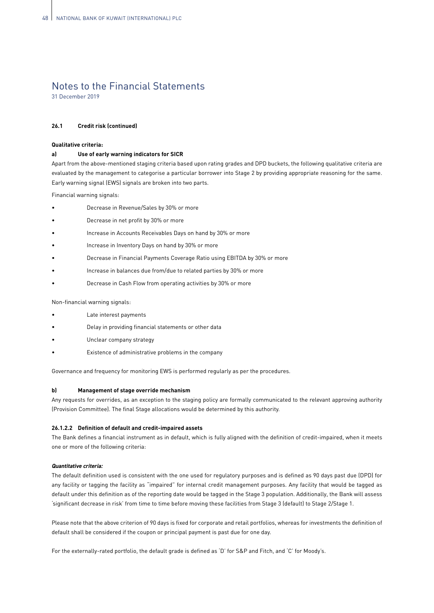31 December 2019

## **26.1 Credit risk (continued)**

### **Qualitative criteria:**

### **a) Use of early warning indicators for SICR**

Apart from the above-mentioned staging criteria based upon rating grades and DPD buckets, the following qualitative criteria are evaluated by the management to categorise a particular borrower into Stage 2 by providing appropriate reasoning for the same. Early warning signal (EWS) signals are broken into two parts.

Financial warning signals:

- Decrease in Revenue/Sales by 30% or more
- Decrease in net profit by 30% or more
- Increase in Accounts Receivables Days on hand by 30% or more
- Increase in Inventory Days on hand by 30% or more
- Decrease in Financial Payments Coverage Ratio using EBITDA by 30% or more
- Increase in balances due from/due to related parties by 30% or more
- Decrease in Cash Flow from operating activities by 30% or more

Non-financial warning signals:

- Late interest payments
- Delay in providing financial statements or other data
- Unclear company strategy
- Existence of administrative problems in the company

Governance and frequency for monitoring EWS is performed regularly as per the procedures.

### **b) Management of stage override mechanism**

Any requests for overrides, as an exception to the staging policy are formally communicated to the relevant approving authority (Provision Committee). The final Stage allocations would be determined by this authority.

### **26.1.2.2 Definition of default and credit-impaired assets**

The Bank defines a financial instrument as in default, which is fully aligned with the definition of credit-impaired, when it meets one or more of the following criteria:

### *Quantitative criteria:*

The default definition used is consistent with the one used for regulatory purposes and is defined as 90 days past due (DPD) for any facility or tagging the facility as "impaired" for internal credit management purposes. Any facility that would be tagged as default under this definition as of the reporting date would be tagged in the Stage 3 population. Additionally, the Bank will assess 'significant decrease in risk' from time to time before moving these facilities from Stage 3 (default) to Stage 2/Stage 1.

Please note that the above criterion of 90 days is fixed for corporate and retail portfolios, whereas for investments the definition of default shall be considered if the coupon or principal payment is past due for one day.

For the externally-rated portfolio, the default grade is defined as 'D' for S&P and Fitch, and 'C' for Moody's.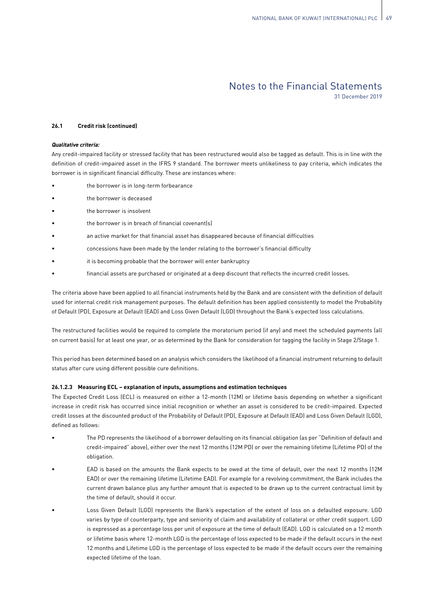31 December 2019

### **26.1 Credit risk (continued)**

### *Qualitative criteria:*

Any credit-impaired facility or stressed facility that has been restructured would also be tagged as default. This is in line with the definition of credit-impaired asset in the IFRS 9 standard. The borrower meets unlikeliness to pay criteria, which indicates the borrower is in significant financial difficulty. These are instances where:

- the borrower is in long-term forbearance
- the borrower is deceased
- the borrower is insolvent
- the borrower is in breach of financial covenant(s)
- an active market for that financial asset has disappeared because of financial difficulties
- concessions have been made by the lender relating to the borrower's financial difficulty
- it is becoming probable that the borrower will enter bankruptcy
- financial assets are purchased or originated at a deep discount that reflects the incurred credit losses.

The criteria above have been applied to all financial instruments held by the Bank and are consistent with the definition of default used for internal credit risk management purposes. The default definition has been applied consistently to model the Probability of Default (PD), Exposure at Default (EAD) and Loss Given Default (LGD) throughout the Bank's expected loss calculations.

The restructured facilities would be required to complete the moratorium period (if any) and meet the scheduled payments (all on current basis) for at least one year, or as determined by the Bank for consideration for tagging the facility in Stage 2/Stage 1.

This period has been determined based on an analysis which considers the likelihood of a financial instrument returning to default status after cure using different possible cure definitions.

### **26.1.2.3 Measuring ECL – explanation of inputs, assumptions and estimation techniques**

The Expected Credit Loss (ECL) is measured on either a 12-month (12M) or lifetime basis depending on whether a significant increase in credit risk has occurred since initial recognition or whether an asset is considered to be credit-impaired. Expected credit losses at the discounted product of the Probability of Default (PD), Exposure at Default (EAD) and Loss Given Default (LGD), defined as follows:

- The PD represents the likelihood of a borrower defaulting on its financial obligation (as per "Definition of default and credit-impaired" above), either over the next 12 months (12M PD) or over the remaining lifetime (Lifetime PD) of the obligation.
- EAD is based on the amounts the Bank expects to be owed at the time of default, over the next 12 months (12M EAD) or over the remaining lifetime (Lifetime EAD). For example for a revolving commitment, the Bank includes the current drawn balance plus any further amount that is expected to be drawn up to the current contractual limit by the time of default, should it occur.
- Loss Given Default (LGD) represents the Bank's expectation of the extent of loss on a defaulted exposure. LGD varies by type of counterparty, type and seniority of claim and availability of collateral or other credit support. LGD is expressed as a percentage loss per unit of exposure at the time of default (EAD). LGD is calculated on a 12 month or lifetime basis where 12-month LGD is the percentage of loss expected to be made if the default occurs in the next 12 months and Lifetime LGD is the percentage of loss expected to be made if the default occurs over the remaining expected lifetime of the loan.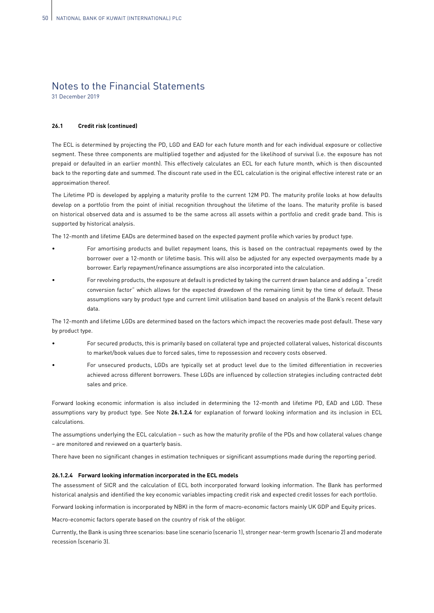31 December 2019

## **26.1 Credit risk (continued)**

The ECL is determined by projecting the PD, LGD and EAD for each future month and for each individual exposure or collective segment. These three components are multiplied together and adjusted for the likelihood of survival (i.e. the exposure has not prepaid or defaulted in an earlier month). This effectively calculates an ECL for each future month, which is then discounted back to the reporting date and summed. The discount rate used in the ECL calculation is the original effective interest rate or an approximation thereof.

The Lifetime PD is developed by applying a maturity profile to the current 12M PD. The maturity profile looks at how defaults develop on a portfolio from the point of initial recognition throughout the lifetime of the loans. The maturity profile is based on historical observed data and is assumed to be the same across all assets within a portfolio and credit grade band. This is supported by historical analysis.

The 12-month and lifetime EADs are determined based on the expected payment profile which varies by product type.

- For amortising products and bullet repayment loans, this is based on the contractual repayments owed by the borrower over a 12-month or lifetime basis. This will also be adjusted for any expected overpayments made by a borrower. Early repayment/refinance assumptions are also incorporated into the calculation.
- For revolving products, the exposure at default is predicted by taking the current drawn balance and adding a "credit conversion factor" which allows for the expected drawdown of the remaining limit by the time of default. These assumptions vary by product type and current limit utilisation band based on analysis of the Bank's recent default data.

The 12-month and lifetime LGDs are determined based on the factors which impact the recoveries made post default. These vary by product type.

- For secured products, this is primarily based on collateral type and projected collateral values, historical discounts to market/book values due to forced sales, time to repossession and recovery costs observed.
- For unsecured products, LGDs are typically set at product level due to the limited differentiation in recoveries achieved across different borrowers. These LGDs are influenced by collection strategies including contracted debt sales and price.

Forward looking economic information is also included in determining the 12-month and lifetime PD, EAD and LGD. These assumptions vary by product type. See Note **26.1.2.4** for explanation of forward looking information and its inclusion in ECL calculations.

The assumptions underlying the ECL calculation – such as how the maturity profile of the PDs and how collateral values change – are monitored and reviewed on a quarterly basis.

There have been no significant changes in estimation techniques or significant assumptions made during the reporting period.

### **26.1.2.4 Forward looking information incorporated in the ECL models**

The assessment of SICR and the calculation of ECL both incorporated forward looking information. The Bank has performed historical analysis and identified the key economic variables impacting credit risk and expected credit losses for each portfolio.

Forward looking information is incorporated by NBKI in the form of macro-economic factors mainly UK GDP and Equity prices.

Macro-economic factors operate based on the country of risk of the obligor.

Currently, the Bank is using three scenarios: base line scenario (scenario 1), stronger near-term growth (scenario 2) and moderate recession (scenario 3).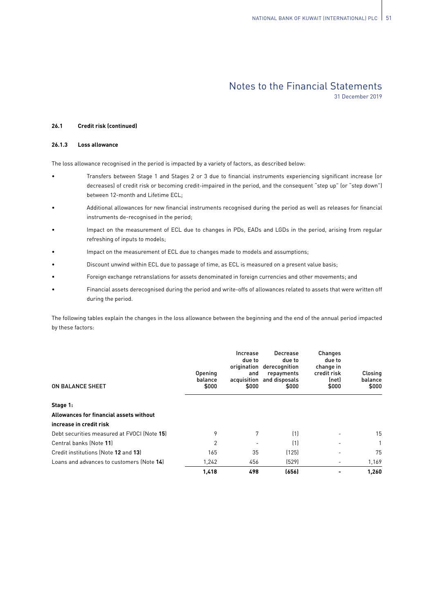31 December 2019

## **26.1 Credit risk (continued)**

### **26.1.3 Loss allowance**

The loss allowance recognised in the period is impacted by a variety of factors, as described below:

- Transfers between Stage 1 and Stages 2 or 3 due to financial instruments experiencing significant increase (or decreases) of credit risk or becoming credit-impaired in the period, and the consequent "step up" (or "step down") between 12-month and Lifetime ECL;
- Additional allowances for new financial instruments recognised during the period as well as releases for financial instruments de-recognised in the period;
- Impact on the measurement of ECL due to changes in PDs, EADs and LGDs in the period, arising from regular refreshing of inputs to models;
- Impact on the measurement of ECL due to changes made to models and assumptions;
- Discount unwind within ECL due to passage of time, as ECL is measured on a present value basis;
- Foreign exchange retranslations for assets denominated in foreign currencies and other movements; and
- Financial assets derecognised during the period and write-offs of allowances related to assets that were written off during the period.

The following tables explain the changes in the loss allowance between the beginning and the end of the annual period impacted by these factors:

| ON BALANCE SHEET                            | <b>Opening</b><br>balance<br>\$000 | Increase<br>due to<br>origination<br>and<br>acquisition<br>\$000 | Decrease<br>due to<br>derecognition<br>repayments<br>and disposals<br>\$000 | Changes<br>due to<br>change in<br>credit risk<br>(net)<br>\$000 | Closing<br>balance<br>\$000 |
|---------------------------------------------|------------------------------------|------------------------------------------------------------------|-----------------------------------------------------------------------------|-----------------------------------------------------------------|-----------------------------|
| Stage 1:                                    |                                    |                                                                  |                                                                             |                                                                 |                             |
| Allowances for financial assets without     |                                    |                                                                  |                                                                             |                                                                 |                             |
| increase in credit risk                     |                                    |                                                                  |                                                                             |                                                                 |                             |
| Debt securities measured at FVOCI (Note 15) | 9                                  | 7                                                                | (1)                                                                         |                                                                 | 15                          |
| Central banks (Note 11)                     | 2                                  | ۰                                                                | (1)                                                                         |                                                                 |                             |
| Credit institutions (Note 12 and 13)        | 165                                | 35                                                               | (125)                                                                       |                                                                 | 75                          |
| Loans and advances to customers (Note 14)   | 1.242                              | 456                                                              | (529)                                                                       |                                                                 | 1,169                       |
|                                             | 1,418                              | 498                                                              | (656)                                                                       |                                                                 | 1,260                       |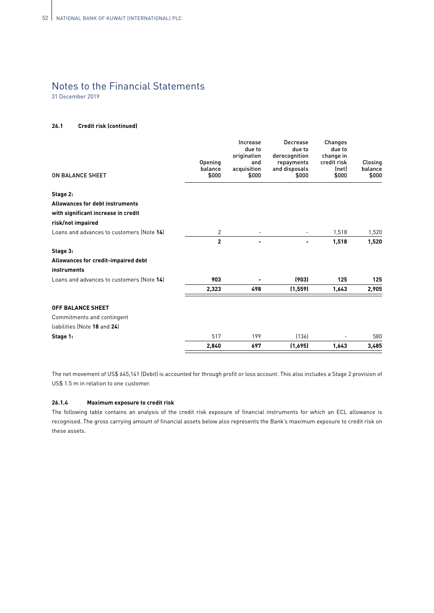31 December 2019

## **26.1 Credit risk (continued)**

|                                           | Opening          | Increase<br>due to<br>origination<br>and | <b>Decrease</b><br>due to<br>derecognition<br>repayments | Changes<br>due to<br>change in<br>credit risk | Closing          |
|-------------------------------------------|------------------|------------------------------------------|----------------------------------------------------------|-----------------------------------------------|------------------|
| ON BALANCE SHEET                          | balance<br>\$000 | acquisition<br>\$000                     | and disposals<br>\$000                                   | (net)<br>\$000                                | balance<br>\$000 |
| Stage 2:                                  |                  |                                          |                                                          |                                               |                  |
| <b>Allowances for debt instruments</b>    |                  |                                          |                                                          |                                               |                  |
| with significant increase in credit       |                  |                                          |                                                          |                                               |                  |
| risk/not impaired                         |                  |                                          |                                                          |                                               |                  |
| Loans and advances to customers (Note 14) | 2                | $\overline{\phantom{a}}$                 | Ξ.                                                       | 1,518                                         | 1,520            |
|                                           | $\overline{2}$   | $\blacksquare$                           | -                                                        | 1,518                                         | 1,520            |
| Stage 3:                                  |                  |                                          |                                                          |                                               |                  |
| Allowances for credit-impaired debt       |                  |                                          |                                                          |                                               |                  |
| instruments                               |                  |                                          |                                                          |                                               |                  |
| Loans and advances to customers (Note 14) | 903              |                                          | (903)                                                    | 125                                           | 125              |
|                                           | 2,323            | 498                                      | (1, 559)                                                 | 1,643                                         | 2,905            |
| <b>OFF BALANCE SHEET</b>                  |                  |                                          |                                                          |                                               |                  |
| Commitments and contingent                |                  |                                          |                                                          |                                               |                  |
| liabilities (Note 18 and 24)              |                  |                                          |                                                          |                                               |                  |
| Stage 1:                                  | 517              | 199                                      | (136)                                                    |                                               | 580              |
|                                           | 2.840            | 697                                      | (1,695)                                                  | 1,643                                         | 3,485            |

The net movement of US\$ 645,141 (Debit) is accounted for through profit or loss account. This also includes a Stage 2 provision of US\$ 1.5 m in relation to one customer.

## **26.1.4 Maximum exposure to credit risk**

The following table contains an analysis of the credit risk exposure of financial instruments for which an ECL allowance is recognised. The gross carrying amount of financial assets below also represents the Bank's maximum exposure to credit risk on these assets.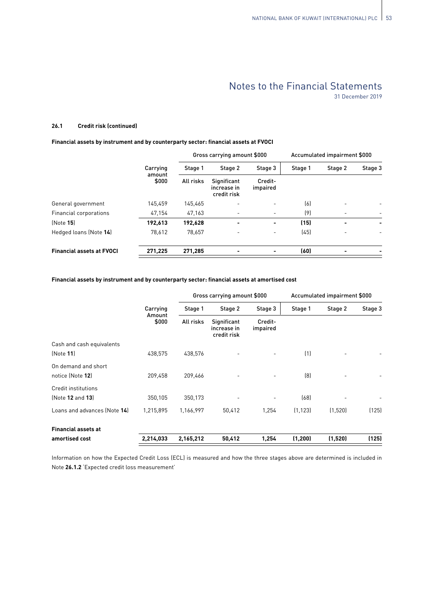31 December 2019

## **26.1 Credit risk (continued)**

## **Financial assets by instrument and by counterparty sector: financial assets at FVOCI**

|                                  | Carrying<br>amount<br>\$000 | Gross carrying amount \$000 |                                           |                          |         | Accumulated impairment \$000 |         |  |  |
|----------------------------------|-----------------------------|-----------------------------|-------------------------------------------|--------------------------|---------|------------------------------|---------|--|--|
|                                  |                             | Stage 1                     | Stage 2                                   | Stage 3                  | Stage 1 | Stage 2                      | Stage 3 |  |  |
|                                  |                             | All risks                   | Significant<br>increase in<br>credit risk | Credit-<br>impaired      |         |                              |         |  |  |
| General government               | 145,459                     | 145,465                     |                                           |                          | (6)     |                              |         |  |  |
| Financial corporations           | 47,154                      | 47,163                      | -                                         | -                        | (9)     | $\overline{\phantom{0}}$     |         |  |  |
| [Note 15]                        | 192,613                     | 192.628                     |                                           | $\overline{\phantom{0}}$ | (15)    |                              |         |  |  |
| Hedged loans (Note 14)           | 78,612                      | 78,657                      | -                                         | -                        | (45)    | $\overline{\phantom{0}}$     |         |  |  |
| <b>Financial assets at FVOCI</b> | 271,225                     | 271,285                     | -                                         | $\blacksquare$           | (60)    |                              |         |  |  |

## **Financial assets by instrument and by counterparty sector: financial assets at amortised cost**

|                                         |                 |           | Gross carrying amount \$000               | Accumulated impairment \$000 |          |         |         |
|-----------------------------------------|-----------------|-----------|-------------------------------------------|------------------------------|----------|---------|---------|
|                                         | Carrying        | Stage 1   | Stage 2                                   | Stage 3                      | Stage 1  | Stage 2 | Stage 3 |
|                                         | Amount<br>\$000 | All risks | Significant<br>increase in<br>credit risk | Credit-<br>impaired          |          |         |         |
| Cash and cash equivalents               |                 |           |                                           |                              |          |         |         |
| (Note 11)                               | 438,575         | 438,576   |                                           |                              | (1)      |         |         |
| On demand and short<br>notice (Note 12) | 209,458         | 209,466   |                                           |                              | [8]      |         |         |
| Credit institutions                     |                 |           |                                           |                              |          |         |         |
| (Note 12 and 13)                        | 350,105         | 350,173   |                                           |                              | (68)     |         |         |
| Loans and advances (Note 14)            | 1,215,895       | 1,166,997 | 50.412                                    | 1,254                        | (1, 123) | (1,520) | (125)   |
| <b>Financial assets at</b>              |                 |           |                                           |                              |          |         |         |
| amortised cost                          | 2,214,033       | 2,165,212 | 50,412                                    | 1,254                        | (1, 200) | (1,520) | (125)   |

Information on how the Expected Credit Loss (ECL) is measured and how the three stages above are determined is included in Note **26.1.2** 'Expected credit loss measurement'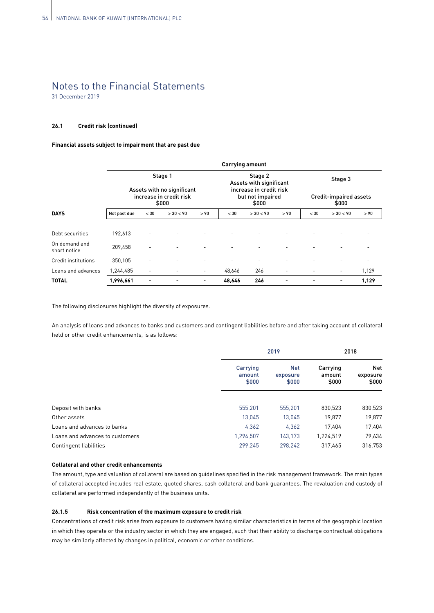31 December 2019

## **26.1 Credit risk (continued)**

#### **Financial assets subject to impairment that are past due**

|                                                                  |           |                | Stage 2<br>Assets with significant          |                            |           | Stage 3                |                                        |           |      |  |  |
|------------------------------------------------------------------|-----------|----------------|---------------------------------------------|----------------------------|-----------|------------------------|----------------------------------------|-----------|------|--|--|
|                                                                  |           |                | but not impaired<br>\$000                   |                            |           |                        | <b>Credit-impaired assets</b><br>\$000 |           |      |  |  |
| Not past due                                                     | $\leq 30$ | $> 30 \leq 90$ | > 90                                        | $<$ 30                     | > 30 < 90 | > 90                   | $<$ 30                                 | > 30 < 90 | > 90 |  |  |
| 192,613                                                          | ٠         |                |                                             |                            |           |                        |                                        |           |      |  |  |
| 209,458                                                          |           |                |                                             |                            |           |                        |                                        |           |      |  |  |
| 350,105                                                          | ٠         |                |                                             |                            |           |                        |                                        |           |      |  |  |
| Loans and advances<br>1,244,485<br>-<br>$\overline{\phantom{a}}$ |           |                | 48,646                                      | 246                        |           |                        | $\overline{\phantom{a}}$               | 1,129     |      |  |  |
| 1,996,661<br>-<br>٠                                              |           |                | 48,646                                      | 246                        |           |                        | ۰                                      | 1,129     |      |  |  |
|                                                                  |           |                | Stage 1<br>increase in credit risk<br>\$000 | Assets with no significant |           | <b>Carrying amount</b> | increase in credit risk                |           |      |  |  |

The following disclosures highlight the diversity of exposures.

An analysis of loans and advances to banks and customers and contingent liabilities before and after taking account of collateral held or other credit enhancements, is as follows:

|                                 |                             | 2019                            |                             |                          |
|---------------------------------|-----------------------------|---------------------------------|-----------------------------|--------------------------|
|                                 | Carrying<br>amount<br>\$000 | <b>Net</b><br>exposure<br>\$000 | Carrying<br>amount<br>\$000 | Net<br>exposure<br>\$000 |
| Deposit with banks              | 555,201                     | 555,201                         | 830,523                     | 830,523                  |
| Other assets                    | 13,045                      | 13,045                          | 19,877                      | 19,877                   |
| Loans and advances to banks     | 4,362                       | 4,362                           | 17.404                      | 17,404                   |
| Loans and advances to customers | 1,294,507                   | 143.173                         | 1,224,519                   | 79,634                   |
| Contingent liabilities          | 299.245                     | 298.242                         | 317.465                     | 316.753                  |

### **Collateral and other credit enhancements**

The amount, type and valuation of collateral are based on guidelines specified in the risk management framework. The main types of collateral accepted includes real estate, quoted shares, cash collateral and bank guarantees. The revaluation and custody of collateral are performed independently of the business units.

## **26.1.5 Risk concentration of the maximum exposure to credit risk**

Concentrations of credit risk arise from exposure to customers having similar characteristics in terms of the geographic location in which they operate or the industry sector in which they are engaged, such that their ability to discharge contractual obligations may be similarly affected by changes in political, economic or other conditions.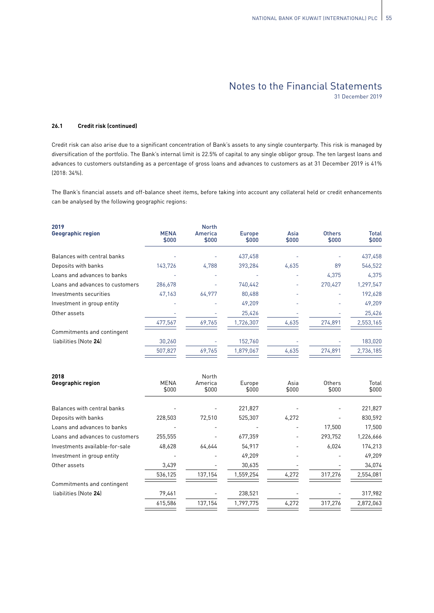31 December 2019

## **26.1 Credit risk (continued)**

Credit risk can also arise due to a significant concentration of Bank's assets to any single counterparty. This risk is managed by diversification of the portfolio. The Bank's internal limit is 22.5% of capital to any single obligor group. The ten largest loans and advances to customers outstanding as a percentage of gross loans and advances to customers as at 31 December 2019 is 41% (2018: 34%).

The Bank's financial assets and off-balance sheet items, before taking into account any collateral held or credit enhancements can be analysed by the following geographic regions:

| 2019<br><b>Geographic region</b> | <b>MENA</b><br>\$000 | <b>North</b><br>America<br>\$000 | <b>Europe</b><br>\$000 | Asia<br>\$000 | <b>Others</b><br>\$000 | Total<br>\$000 |
|----------------------------------|----------------------|----------------------------------|------------------------|---------------|------------------------|----------------|
|                                  |                      |                                  |                        |               |                        |                |
| Balances with central banks      |                      |                                  | 437,458                |               |                        | 437,458        |
| Deposits with banks              | 143,726              | 4,788                            | 393,284                | 4,635         | 89                     | 546,522        |
| Loans and advances to banks      |                      |                                  |                        |               | 4,375                  | 4,375          |
| Loans and advances to customers  | 286,678              |                                  | 740,442                |               | 270,427                | 1,297,547      |
| Investments securities           | 47,163               | 64,977                           | 80,488                 |               |                        | 192,628        |
| Investment in group entity       |                      |                                  | 49,209                 |               |                        | 49,209         |
| Other assets                     |                      |                                  | 25,426                 |               |                        | 25,426         |
|                                  | 477,567              | 69,765                           | 1,726,307              | 4,635         | 274,891                | 2,553,165      |
| Commitments and contingent       |                      |                                  |                        |               |                        |                |
| liabilities (Note 24)            | 30,260               |                                  | 152,760                |               |                        | 183,020        |
|                                  | 507,827              | 69,765                           | 1,879,067              | 4,635         | 274,891                | 2,736,185      |
|                                  |                      |                                  |                        |               |                        |                |

| 2018                            |                      | North            |                 |               |                 |                |
|---------------------------------|----------------------|------------------|-----------------|---------------|-----------------|----------------|
| Geographic region               | <b>MENA</b><br>\$000 | America<br>\$000 | Europe<br>\$000 | Asia<br>\$000 | Others<br>\$000 | Total<br>\$000 |
| Balances with central banks     |                      |                  | 221,827         |               |                 | 221,827        |
| Deposits with banks             | 228,503              | 72,510           | 525,307         | 4,272         |                 | 830,592        |
| Loans and advances to banks     |                      |                  |                 |               | 17,500          | 17,500         |
| Loans and advances to customers | 255,555              |                  | 677,359         |               | 293,752         | 1,226,666      |
| Investments available-for-sale  | 48.628               | 64.644           | 54,917          |               | 6,024           | 174,213        |
| Investment in group entity      |                      |                  | 49,209          |               |                 | 49,209         |
| Other assets                    | 3,439                |                  | 30,635          |               |                 | 34,074         |
|                                 | 536,125              | 137,154          | 1,559,254       | 4,272         | 317.276         | 2,554,081      |
| Commitments and contingent      |                      |                  |                 |               |                 |                |
| liabilities (Note 24)           | 79,461               |                  | 238,521         |               |                 | 317,982        |
|                                 | 615.586              | 137.154          | 1.797.775       | 4,272         | 317.276         | 2.872.063      |
|                                 |                      |                  |                 |               |                 |                |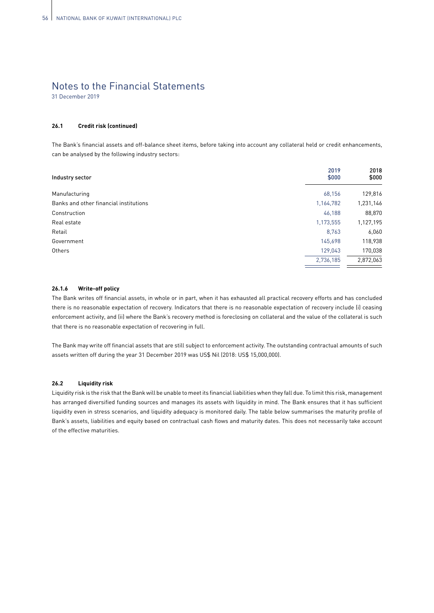31 December 2019

## **26.1 Credit risk (continued)**

The Bank's financial assets and off-balance sheet items, before taking into account any collateral held or credit enhancements, can be analysed by the following industry sectors:

| Industry sector                        | 2019<br>\$000 | 2018<br>\$000 |
|----------------------------------------|---------------|---------------|
| Manufacturing                          | 68,156        | 129,816       |
| Banks and other financial institutions | 1,164,782     | 1,231,146     |
| Construction                           | 46,188        | 88,870        |
| Real estate                            | 1,173,555     | 1,127,195     |
| Retail                                 | 8,763         | 6,060         |
| Government                             | 145,698       | 118,938       |
| Others                                 | 129,043       | 170,038       |
|                                        | 2,736,185     | 2,872,063     |
|                                        |               |               |

## **26.1.6 Write-off policy**

The Bank writes off financial assets, in whole or in part, when it has exhausted all practical recovery efforts and has concluded there is no reasonable expectation of recovery. Indicators that there is no reasonable expectation of recovery include (i) ceasing enforcement activity, and (ii) where the Bank's recovery method is foreclosing on collateral and the value of the collateral is such that there is no reasonable expectation of recovering in full.

The Bank may write off financial assets that are still subject to enforcement activity. The outstanding contractual amounts of such assets written off during the year 31 December 2019 was US\$ Nil (2018: US\$ 15,000,000).

## **26.2 Liquidity risk**

Liquidity risk is the risk that the Bank will be unable to meet its financial liabilities when they fall due. To limit this risk, management has arranged diversified funding sources and manages its assets with liquidity in mind. The Bank ensures that it has sufficient liquidity even in stress scenarios, and liquidity adequacy is monitored daily. The table below summarises the maturity profile of Bank's assets, liabilities and equity based on contractual cash flows and maturity dates. This does not necessarily take account of the effective maturities.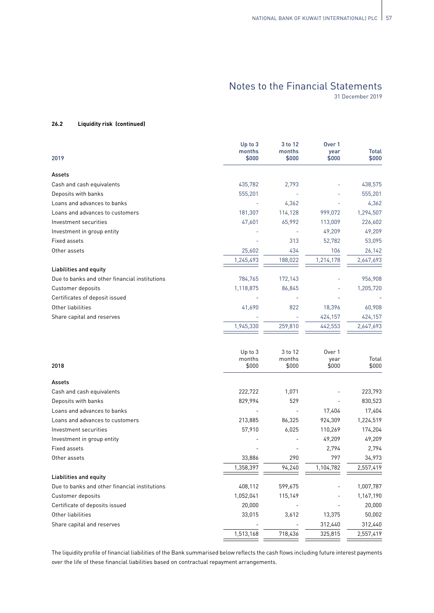31 December 2019

## **26.2 Liquidity risk (continued)**

| 2019                                          | Up to 3<br>months<br>\$000 | 3 to 12<br>months<br>\$000 | Over <sub>1</sub><br>year<br>\$000 | <b>Total</b><br>\$000 |
|-----------------------------------------------|----------------------------|----------------------------|------------------------------------|-----------------------|
| Assets                                        |                            |                            |                                    |                       |
| Cash and cash equivalents                     | 435,782                    | 2,793                      |                                    | 438,575               |
| Deposits with banks                           | 555,201                    |                            |                                    | 555,201               |
| Loans and advances to banks                   |                            | 4,362                      |                                    | 4,362                 |
| Loans and advances to customers               | 181,307                    | 114,128                    | 999,072                            | 1,294,507             |
| Investment securities                         | 47,601                     | 65,992                     | 113,009                            | 226,602               |
| Investment in group entity                    |                            |                            | 49,209                             | 49,209                |
| Fixed assets                                  |                            | 313                        | 52,782                             | 53,095                |
| Other assets                                  | 25,602                     | 434                        | 106                                | 26,142                |
|                                               | 1,245,493                  | 188,022                    | 1,214,178                          | 2,647,693             |
| Liabilities and equity                        |                            |                            |                                    |                       |
| Due to banks and other financial institutions | 784,765                    | 172,143                    |                                    | 956,908               |
| Customer deposits                             | 1,118,875                  | 86,845                     |                                    | 1,205,720             |
| Certificates of deposit issued                |                            |                            |                                    |                       |
| Other liabilities                             | 41,690                     | 822                        | 18,396                             | 60,908                |
| Share capital and reserves                    |                            |                            | 424,157                            | 424,157               |
|                                               | 1,945,330                  | 259,810                    | 442,553                            | 2,647,693             |
| 2018                                          | Up to 3<br>months<br>\$000 | 3 to 12<br>months<br>\$000 | Over 1<br>year<br>\$000            | Total<br>\$000        |
| Assets                                        |                            |                            |                                    |                       |
| Cash and cash equivalents                     | 222,722                    | 1,071                      |                                    | 223,793               |
| Deposits with banks                           | 829,994                    | 529                        |                                    | 830,523               |
| Loans and advances to banks                   |                            |                            | 17,404                             | 17,404                |
| Loans and advances to customers               | 213,885                    | 86,325                     | 924,309                            | 1,224,519             |
| Investment securities                         | 57,910                     | 6,025                      | 110,269                            | 174,204               |
| Investment in group entity                    |                            |                            | 49,209                             | 49,209                |
| Fixed assets                                  |                            |                            | 2,794                              | 2,794                 |
| Other assets                                  | 33,886                     | 290                        | 797                                | 34,973                |
|                                               | 1,358,397                  | 94,240                     | 1,104,782                          | 2,557,419             |
| Liabilities and equity                        |                            |                            |                                    |                       |
| Due to banks and other financial institutions | 408,112                    | 599,675                    |                                    | 1,007,787             |
| Customer deposits                             | 1,052,041                  | 115,149                    |                                    | 1,167,190             |
| Certificate of deposits issued                | 20,000                     |                            |                                    | 20,000                |
| Other liabilities                             | 33,015                     | 3,612                      | 13,375                             | 50,002                |
| Share capital and reserves                    |                            |                            | 312,440                            | 312,440               |
|                                               | 1,513,168                  | 718,436                    | 325,815                            | 2,557,419             |

The liquidity profile of financial liabilities of the Bank summarised below reflects the cash flows including future interest payments over the life of these financial liabilities based on contractual repayment arrangements.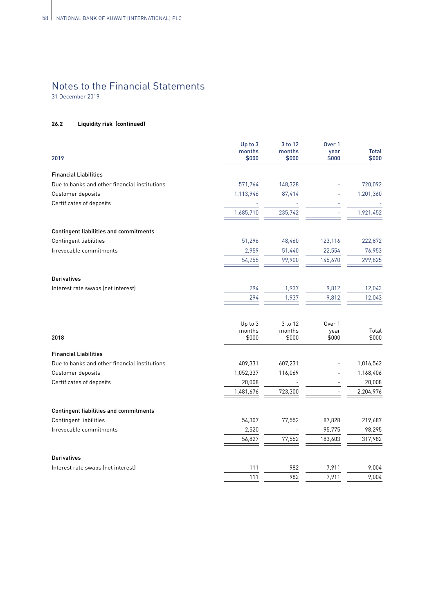31 December 2019

## **26.2 Liquidity risk (continued)**

| 2019                                          | Up to 3<br>months<br>\$000 | 3 to 12<br>months<br>\$000 | Over 1<br>year<br>\$000 | <b>Total</b><br>\$000 |
|-----------------------------------------------|----------------------------|----------------------------|-------------------------|-----------------------|
| <b>Financial Liabilities</b>                  |                            |                            |                         |                       |
| Due to banks and other financial institutions | 571,764                    | 148,328                    |                         | 720,092               |
| Customer deposits                             | 1,113,946                  | 87,414                     |                         | 1,201,360             |
| Certificates of deposits                      |                            |                            |                         |                       |
|                                               | 1,685,710                  | 235,742                    |                         | 1,921,452             |
| Contingent liabilities and commitments        |                            |                            |                         |                       |
| Contingent liabilities                        | 51,296                     | 48,460                     | 123,116                 | 222,872               |
| Irrevocable commitments                       | 2,959                      | 51,440                     | 22,554                  | 76,953                |
|                                               | 54,255                     | 99,900                     | 145,670                 | 299,825               |
| <b>Derivatives</b>                            |                            |                            |                         |                       |
| Interest rate swaps (net interest)            | 294                        | 1,937                      | 9,812                   | 12,043                |
|                                               | 294                        | 1,937                      | 9,812                   | 12,043                |
| 2018                                          | Up to 3<br>months<br>\$000 | 3 to 12<br>months<br>\$000 | Over 1<br>year<br>\$000 | Total<br>\$000        |
| <b>Financial Liabilities</b>                  |                            |                            |                         |                       |
| Due to banks and other financial institutions | 409,331                    | 607,231                    |                         | 1,016,562             |
| Customer deposits                             | 1,052,337                  | 116,069                    |                         | 1,168,406             |
| Certificates of deposits                      | 20,008                     |                            |                         | 20,008                |
|                                               | 1,481,676                  | 723,300                    |                         | 2,204,976             |
| <b>Contingent liabilities and commitments</b> |                            |                            |                         |                       |
| <b>Contingent liabilities</b>                 | 54,307                     | 77,552                     | 87,828                  | 219,687               |
| Irrevocable commitments                       | 2,520                      |                            | 95,775                  | 98,295                |
|                                               | 56,827                     | 77,552                     | 183,603                 | 317,982               |
| <b>Derivatives</b>                            |                            |                            |                         |                       |
| Interest rate swaps (net interest)            | 111                        | 982                        | 7,911                   | 9,004                 |
|                                               | 111                        | 982                        | 7,911                   | 9,004                 |

───────── ───────── ─────────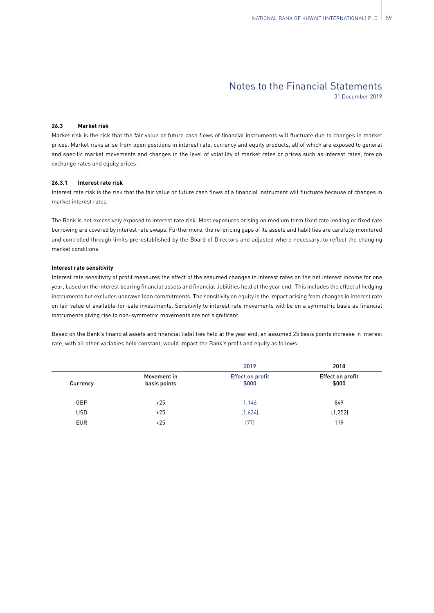31 December 2019

## **26.3 Market risk**

Market risk is the risk that the fair value or future cash flows of financial instruments will fluctuate due to changes in market prices. Market risks arise from open positions in interest rate, currency and equity products, all of which are exposed to general and specific market movements and changes in the level of volatility of market rates or prices such as interest rates, foreign exchange rates and equity prices.

#### **26.3.1 Interest rate risk**

Interest rate risk is the risk that the fair value or future cash flows of a financial instrument will fluctuate because of changes in market interest rates.

The Bank is not excessively exposed to interest rate risk. Most exposures arising on medium term fixed rate lending or fixed rate borrowing are covered by interest rate swaps. Furthermore, the re-pricing gaps of its assets and liabilities are carefully monitored and controlled through limits pre-established by the Board of Directors and adjusted where necessary, to reflect the changing market conditions.

### **Interest rate sensitivity**

Interest rate sensitivity of profit measures the effect of the assumed changes in interest rates on the net interest income for one year, based on the interest bearing financial assets and financial liabilities held at the year end. This includes the effect of hedging instruments but excludes undrawn loan commitments. The sensitivity on equity is the impact arising from changes in interest rate on fair value of available-for-sale investments. Sensitivity to interest rate movements will be on a symmetric basis as financial instruments giving rise to non-symmetric movements are not significant.

Based on the Bank's financial assets and financial liabilities held at the year end, an assumed 25 basis points increase in interest rate, with all other variables held constant, would impact the Bank's profit and equity as follows:

|            |                             | 2019                             | 2018                      |
|------------|-----------------------------|----------------------------------|---------------------------|
| Currency   | Movement in<br>basis points | <b>Effect on profit</b><br>\$000 | Effect on profit<br>\$000 |
| GBP        | $+25$                       | 1,146                            | 849                       |
| <b>USD</b> | $+25$                       | (1,634)                          | (1, 252)                  |
| <b>EUR</b> | $+25$                       | (77)                             | 119                       |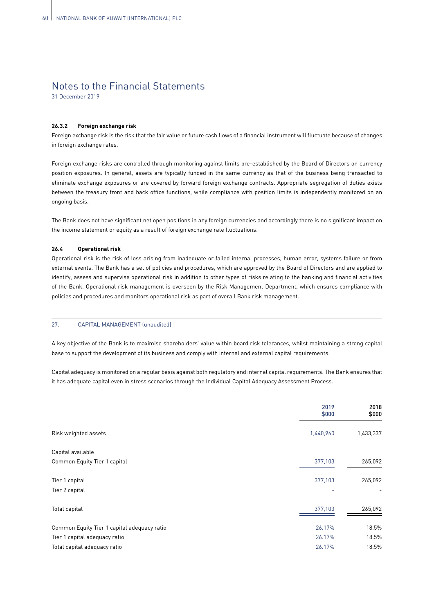31 December 2019

## **26.3.2 Foreign exchange risk**

Foreign exchange risk is the risk that the fair value or future cash flows of a financial instrument will fluctuate because of changes in foreign exchange rates.

Foreign exchange risks are controlled through monitoring against limits pre-established by the Board of Directors on currency position exposures. In general, assets are typically funded in the same currency as that of the business being transacted to eliminate exchange exposures or are covered by forward foreign exchange contracts. Appropriate segregation of duties exists between the treasury front and back office functions, while compliance with position limits is independently monitored on an ongoing basis.

The Bank does not have significant net open positions in any foreign currencies and accordingly there is no significant impact on the income statement or equity as a result of foreign exchange rate fluctuations.

### **26.4 Operational risk**

Operational risk is the risk of loss arising from inadequate or failed internal processes, human error, systems failure or from external events. The Bank has a set of policies and procedures, which are approved by the Board of Directors and are applied to identify, assess and supervise operational risk in addition to other types of risks relating to the banking and financial activities of the Bank. Operational risk management is overseen by the Risk Management Department, which ensures compliance with policies and procedures and monitors operational risk as part of overall Bank risk management.

## 27. CAPITAL MANAGEMENT (unaudited)

A key objective of the Bank is to maximise shareholders' value within board risk tolerances, whilst maintaining a strong capital base to support the development of its business and comply with internal and external capital requirements.

Capital adequacy is monitored on a regular basis against both regulatory and internal capital requirements. The Bank ensures that it has adequate capital even in stress scenarios through the Individual Capital Adequacy Assessment Process.

|                                             | 2019<br>\$000 | 2018<br>\$000 |
|---------------------------------------------|---------------|---------------|
| Risk weighted assets                        | 1,440,960     | 1,433,337     |
| Capital available                           |               |               |
| Common Equity Tier 1 capital                | 377,103       | 265,092       |
| Tier 1 capital                              | 377,103       | 265,092       |
| Tier 2 capital                              |               |               |
| Total capital                               | 377,103       | 265,092       |
| Common Equity Tier 1 capital adequacy ratio | 26.17%        | 18.5%         |
| Tier 1 capital adequacy ratio               | 26.17%        | 18.5%         |
| Total capital adequacy ratio                | 26.17%        | 18.5%         |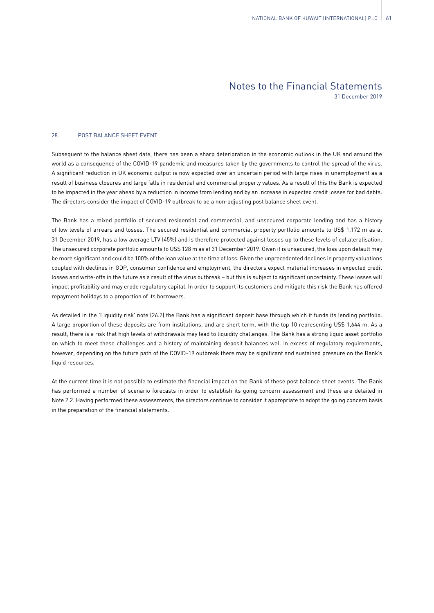## Notes to the Financial Statements 31 December 2019

28. POST BALANCE SHEET EVENT

Subsequent to the balance sheet date, there has been a sharp deterioration in the economic outlook in the UK and around the world as a consequence of the COVID-19 pandemic and measures taken by the governments to control the spread of the virus. A significant reduction in UK economic output is now expected over an uncertain period with large rises in unemployment as a result of business closures and large falls in residential and commercial property values. As a result of this the Bank is expected to be impacted in the year ahead by a reduction in income from lending and by an increase in expected credit losses for bad debts. The directors consider the impact of COVID-19 outbreak to be a non-adjusting post balance sheet event.

The Bank has a mixed portfolio of secured residential and commercial, and unsecured corporate lending and has a history of low levels of arrears and losses. The secured residential and commercial property portfolio amounts to US\$ 1,172 m as at 31 December 2019, has a low average LTV (45%) and is therefore protected against losses up to these levels of collateralisation. The unsecured corporate portfolio amounts to US\$ 128 m as at 31 December 2019. Given it is unsecured, the loss upon default may be more significant and could be 100% of the loan value at the time of loss. Given the unprecedented declines in property valuations coupled with declines in GDP, consumer confidence and employment, the directors expect material increases in expected credit losses and write-offs in the future as a result of the virus outbreak – but this is subject to significant uncertainty. These losses will impact profitability and may erode regulatory capital. In order to support its customers and mitigate this risk the Bank has offered repayment holidays to a proportion of its borrowers.

As detailed in the 'Liquidity risk' note (26.2) the Bank has a significant deposit base through which it funds its lending portfolio. A large proportion of these deposits are from institutions, and are short term, with the top 10 representing US\$ 1,644 m. As a result, there is a risk that high levels of withdrawals may lead to liquidity challenges. The Bank has a strong liquid asset portfolio on which to meet these challenges and a history of maintaining deposit balances well in excess of regulatory requirements, however, depending on the future path of the COVID-19 outbreak there may be significant and sustained pressure on the Bank's liquid resources.

At the current time it is not possible to estimate the financial impact on the Bank of these post balance sheet events. The Bank has performed a number of scenario forecasts in order to establish its going concern assessment and these are detailed in Note 2.2. Having performed these assessments, the directors continue to consider it appropriate to adopt the going concern basis in the preparation of the financial statements.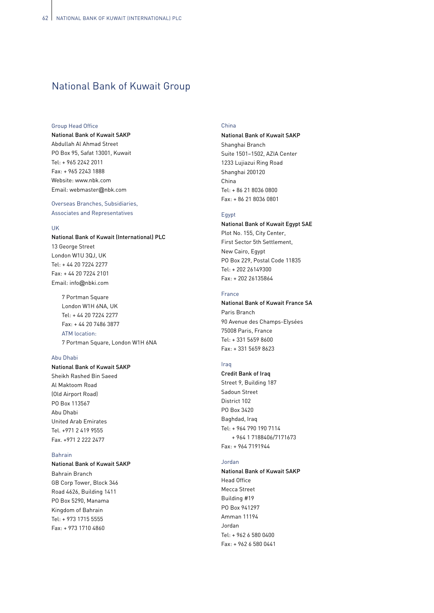## National Bank of Kuwait Group

## Group Head Office

## National Bank of Kuwait SAKP

Abdullah Al Ahmad Street PO Box 95, Safat 13001, Kuwait Tel: + 965 2242 2011 Fax: + 965 2243 1888 Website: www.nbk.com Email: webmaster@nbk.com

Overseas Branches, Subsidiaries, Associates and Representatives

## UK

National Bank of Kuwait (International) PLC 13 George Street London W1U 3QJ, UK Tel: + 44 20 7224 2277 Fax: + 44 20 7224 2101 Email: info@nbki.com

7 Portman Square London W1H 6NA, UK Tel: + 44 20 7224 2277 Fax: + 44 20 7486 3877 ATM location: 7 Portman Square, London W1H 6NA

## Abu Dhabi

## National Bank of Kuwait SAKP

Sheikh Rashed Bin Saeed Al Maktoom Road (Old Airport Road) PO Box 113567 Abu Dhabi United Arab Emirates Tel. +971 2 419 9555 Fax. +971 2 222 2477

### Bahrain

National Bank of Kuwait SAKP Bahrain Branch GB Corp Tower, Block 346 Road 4626, Building 1411 PO Box 5290, Manama Kingdom of Bahrain Tel: + 973 1715 5555 Fax: + 973 1710 4860

## China

## National Bank of Kuwait SAKP Shanghai Branch Suite 1501–1502, AZIA Center 1233 Lujiazui Ring Road Shanghai 200120 China Tel: + 86 21 8036 0800 Fax: + 86 21 8036 0801

### Egypt

National Bank of Kuwait Egypt SAE Plot No. 155, City Center, First Sector 5th Settlement, New Cairo, Egypt PO Box 229, Postal Code 11835 Tel: + 202 26149300 Fax: + 202 26135864

#### France

National Bank of Kuwait France SA Paris Branch 90 Avenue des Champs-Elysées 75008 Paris, France Tel: + 331 5659 8600 Fax: + 331 5659 8623

### Iraq

Credit Bank of Iraq Street 9, Building 187 Sadoun Street District 102 PO Box 3420 Baghdad, Iraq Tel: + 964 790 190 7114 + 964 1 7188406/7171673 Fax: + 964 7191944

### Jordan

National Bank of Kuwait SAKP Head Office Mecca Street Building #19 PO Box 941297 Amman 11194 Jordan Tel: + 962 6 580 0400 Fax: + 962 6 580 0441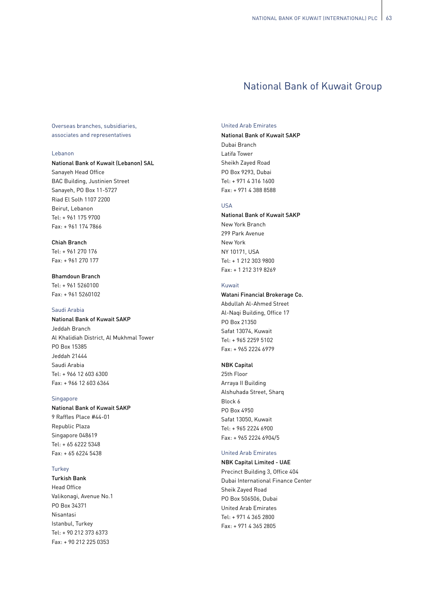## National Bank of Kuwait Group

Overseas branches, subsidiaries, associates and representatives

## Lebanon

## National Bank of Kuwait (Lebanon) SAL

Sanayeh Head Office BAC Building, Justinien Street Sanayeh, PO Box 11-5727 Riad El Solh 1107 2200 Beirut, Lebanon Tel: + 961 175 9700 Fax: + 961 174 7866

## Chiah Branch

Tel: + 961 270 176 Fax: + 961 270 177

Bhamdoun Branch Tel: + 961 5260100

Fax: + 961 5260102

## Saudi Arabia

## National Bank of Kuwait SAKP

Jeddah Branch Al Khalidiah District, Al Mukhmal Tower PO Box 15385 Jeddah 21444 Saudi Arabia Tel: + 966 12 603 6300 Fax: + 966 12 603 6364

#### Singapore

National Bank of Kuwait SAKP 9 Raffles Place #44-01 Republic Plaza Singapore 048619 Tel: + 65 6222 5348 Fax: + 65 6224 5438

#### Turkey

Turkish Bank Head Office Valikonagi, Avenue No.1 PO Box 34371 Nisantasi Istanbul, Turkey Tel: + 90 212 373 6373 Fax: + 90 212 225 0353

## United Arab Emirates

National Bank of Kuwait SAKP Dubai Branch Latifa Tower Sheikh Zayed Road PO Box 9293, Dubai Tel: + 971 4 316 1600 Fax: + 971 4 388 8588

## USA

## National Bank of Kuwait SAKP

New York Branch 299 Park Avenue New York NY 10171, USA Tel: + 1 212 303 9800 Fax: + 1 212 319 8269

### Kuwait

## Watani Financial Brokerage Co.

Abdullah Al-Ahmed Street Al-Naqi Building, Office 17 PO Box 21350 Safat 13074, Kuwait Tel: + 965 2259 5102 Fax: + 965 2224 6979

## NBK Capital

25th Floor Arraya II Building Alshuhada Street, Sharq Block 6 PO Box 4950 Safat 13050, Kuwait Tel: + 965 2224 6900 Fax: + 965 2224 6904/5

#### United Arab Emirates

NBK Capital Limited - UAE Precinct Building 3, Office 404 Dubai International Finance Center Sheik Zayed Road PO Box 506506, Dubai United Arab Emirates Tel: + 971 4 365 2800 Fax: + 971 4 365 2805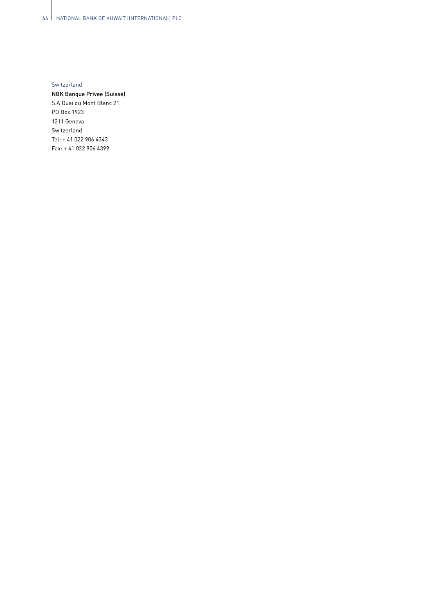## Switzerland

## NBK Banque Privee (Suisse)

S.A Quai du Mont Blanc 21 PO Box 1923 1211 Geneva Switzerland Tel: + 41 022 906 4343 Fax: + 41 022 906 4399